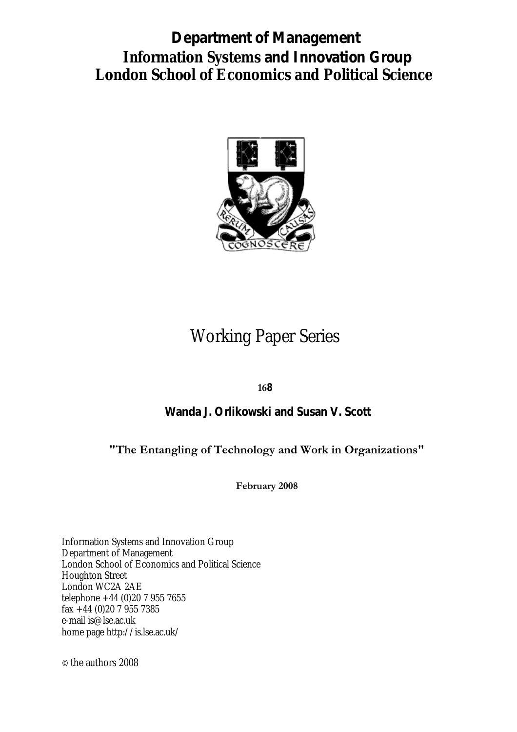# **Information Systems and Innovation Group London School of Economics and Political Science Department of Management**



# Working Paper Series

**168**

# **Wanda J. Orlikowski and Susan V. Scott**

# **"The Entangling of Technology and Work in Organizations"**

**February 2008**

Information Systems and Innovation Group Department of Management London School of Economics and Political Science Houghton Street London WC2A 2AE telephone +44 (0)20 7 955 7655 fax +44 (0)20 7 955 7385 e-mail is@lse.ac.uk home page http://is.lse.ac.uk/

© the authors 2008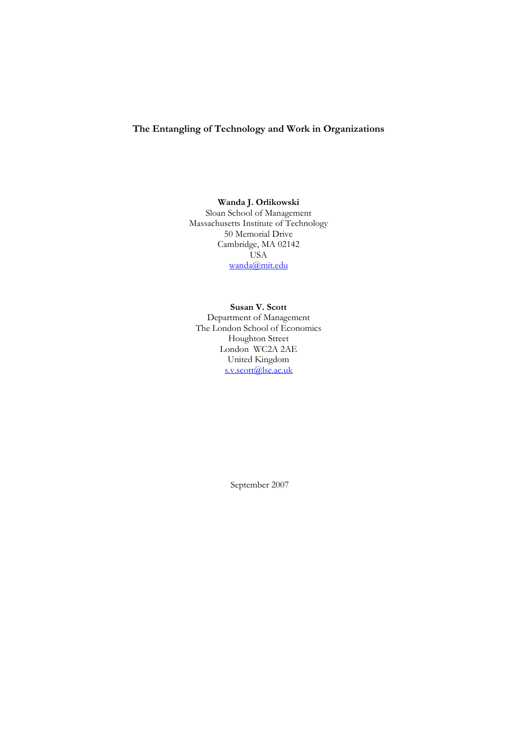# **The Entangling of Technology and Work in Organizations**

# **Wanda J. Orlikowski**

Sloan School of Management Massachusetts Institute of Technology 50 Memorial Drive Cambridge, MA 02142 USA [wanda@mit.edu](mailto:wanda@mit.edu)

#### **Susan V. Scott**

Department of Management The London School of Economics Houghton Street London WC2A 2AE United Kingdom [s.v.scott@lse.ac.uk](mailto:s.v.scott@lse.ac.uk)

September 2007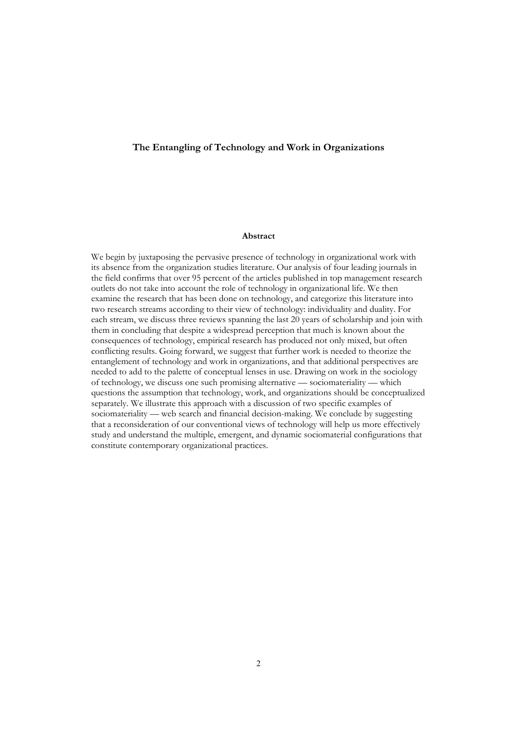# **The Entangling of Technology and Work in Organizations**

#### **Abstract**

We begin by juxtaposing the pervasive presence of technology in organizational work with its absence from the organization studies literature. Our analysis of four leading journals in the field confirms that over 95 percent of the articles published in top management research outlets do not take into account the role of technology in organizational life. We then examine the research that has been done on technology, and categorize this literature into two research streams according to their view of technology: individuality and duality. For each stream, we discuss three reviews spanning the last 20 years of scholarship and join with them in concluding that despite a widespread perception that much is known about the consequences of technology, empirical research has produced not only mixed, but often conflicting results. Going forward, we suggest that further work is needed to theorize the entanglement of technology and work in organizations, and that additional perspectives are needed to add to the palette of conceptual lenses in use. Drawing on work in the sociology of technology, we discuss one such promising alternative — sociomateriality — which questions the assumption that technology, work, and organizations should be conceptualized separately. We illustrate this approach with a discussion of two specific examples of sociomateriality — web search and financial decision-making. We conclude by suggesting that a reconsideration of our conventional views of technology will help us more effectively study and understand the multiple, emergent, and dynamic sociomaterial configurations that constitute contemporary organizational practices.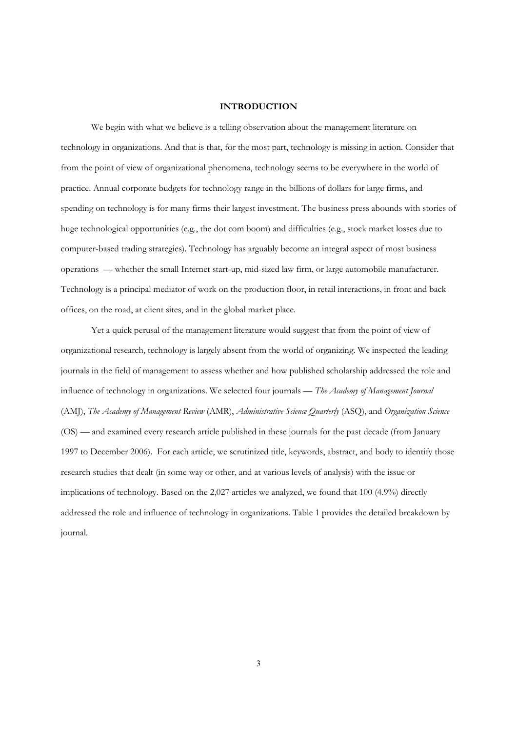# **INTRODUCTION**

 We begin with what we believe is a telling observation about the management literature on technology in organizations. And that is that, for the most part, technology is missing in action. Consider that from the point of view of organizational phenomena, technology seems to be everywhere in the world of practice. Annual corporate budgets for technology range in the billions of dollars for large firms, and spending on technology is for many firms their largest investment. The business press abounds with stories of huge technological opportunities (e.g., the dot com boom) and difficulties (e.g., stock market losses due to computer-based trading strategies). Technology has arguably become an integral aspect of most business operations — whether the small Internet start-up, mid-sized law firm, or large automobile manufacturer. Technology is a principal mediator of work on the production floor, in retail interactions, in front and back offices, on the road, at client sites, and in the global market place.

Yet a quick perusal of the management literature would suggest that from the point of view of organizational research, technology is largely absent from the world of organizing. We inspected the leading journals in the field of management to assess whether and how published scholarship addressed the role and influence of technology in organizations. We selected four journals — *The Academy of Management Journal* (AMJ), *The Academy of Management Review* (AMR), *Administrative Science Quarterly* (ASQ), and *Organization Science* (OS) — and examined every research article published in these journals for the past decade (from January 1997 to December 2006). For each article, we scrutinized title, keywords, abstract, and body to identify those research studies that dealt (in some way or other, and at various levels of analysis) with the issue or implications of technology. Based on the 2,027 articles we analyzed, we found that 100 (4.9%) directly addressed the role and influence of technology in organizations. Table 1 provides the detailed breakdown by journal.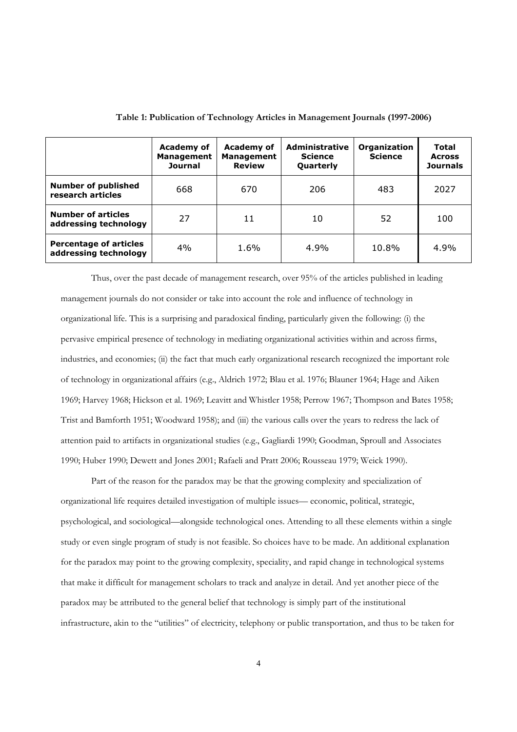|                                                        | <b>Academy of</b><br><b>Management</b><br><b>Journal</b> | Academy of<br><b>Management</b><br><b>Review</b> | <b>Administrative</b><br><b>Science</b><br><b>Quarterly</b> | Organization<br><b>Science</b> | Total<br><b>Across</b><br><b>Journals</b> |
|--------------------------------------------------------|----------------------------------------------------------|--------------------------------------------------|-------------------------------------------------------------|--------------------------------|-------------------------------------------|
| <b>Number of published</b><br>research articles        | 668                                                      | 670                                              | 206                                                         | 483                            | 2027                                      |
| <b>Number of articles</b><br>addressing technology     | 27                                                       | 11                                               | 10                                                          | 52                             | 100                                       |
| <b>Percentage of articles</b><br>addressing technology | 4%                                                       | 1.6%                                             | 4.9%                                                        | 10.8%                          | 4.9%                                      |

**Table 1: Publication of Technology Articles in Management Journals (1997-2006)** 

Thus, over the past decade of management research, over 95% of the articles published in leading management journals do not consider or take into account the role and influence of technology in organizational life. This is a surprising and paradoxical finding, particularly given the following: (i) the pervasive empirical presence of technology in mediating organizational activities within and across firms, industries, and economies; (ii) the fact that much early organizational research recognized the important role of technology in organizational affairs (e.g., Aldrich 1972; Blau et al. 1976; Blauner 1964; Hage and Aiken 1969; Harvey 1968; Hickson et al. 1969; Leavitt and Whistler 1958; Perrow 1967; Thompson and Bates 1958; Trist and Bamforth 1951; Woodward 1958); and (iii) the various calls over the years to redress the lack of attention paid to artifacts in organizational studies (e.g., Gagliardi 1990; Goodman, Sproull and Associates 1990; Huber 1990; Dewett and Jones 2001; Rafaeli and Pratt 2006; Rousseau 1979; Weick 1990).

Part of the reason for the paradox may be that the growing complexity and specialization of organizational life requires detailed investigation of multiple issues— economic, political, strategic, psychological, and sociological—alongside technological ones. Attending to all these elements within a single study or even single program of study is not feasible. So choices have to be made. An additional explanation for the paradox may point to the growing complexity, speciality, and rapid change in technological systems that make it difficult for management scholars to track and analyze in detail. And yet another piece of the paradox may be attributed to the general belief that technology is simply part of the institutional infrastructure, akin to the "utilities" of electricity, telephony or public transportation, and thus to be taken for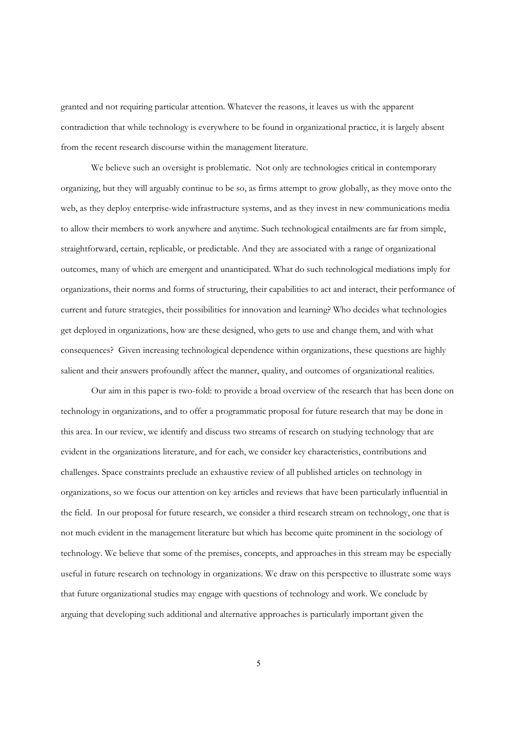granted and not requiring particular attention. Whatever the reasons, it leaves us with the apparent contradiction that while technology is everywhere to be found in organizational practice, it is largely absent from the recent research discourse within the management literature.

We believe such an oversight is problematic. Not only are technologies critical in contemporary organizing, but they will arguably continue to be so, as firms attempt to grow globally, as they move onto the web, as they deploy enterprise-wide infrastructure systems, and as they invest in new communications media to allow their members to work anywhere and anytime. Such technological entailments are far from simple, straightforward, certain, replicable, or predictable. And they are associated with a range of organizational outcomes, many of which are emergent and unanticipated. What do such technological mediations imply for organizations, their norms and forms of structuring, their capabilities to act and interact, their performance of current and future strategies, their possibilities for innovation and learning? Who decides what technologies get deployed in organizations, how are these designed, who gets to use and change them, and with what consequences? Given increasing technological dependence within organizations, these questions are highly salient and their answers profoundly affect the manner, quality, and outcomes of organizational realities.

Our aim in this paper is two-fold: to provide a broad overview of the research that has been done on technology in organizations, and to offer a programmatic proposal for future research that may be done in this area. In our review, we identify and discuss two streams of research on studying technology that are evident in the organizations literature, and for each, we consider key characteristics, contributions and challenges. Space constraints preclude an exhaustive review of all published articles on technology in organizations, so we focus our attention on key articles and reviews that have been particularly influential in the field. In our proposal for future research, we consider a third research stream on technology, one that is not much evident in the management literature but which has become quite prominent in the sociology of technology. We believe that some of the premises, concepts, and approaches in this stream may be especially useful in future research on technology in organizations. We draw on this perspective to illustrate some ways that future organizational studies may engage with questions of technology and work. We conclude by arguing that developing such additional and alternative approaches is particularly important given the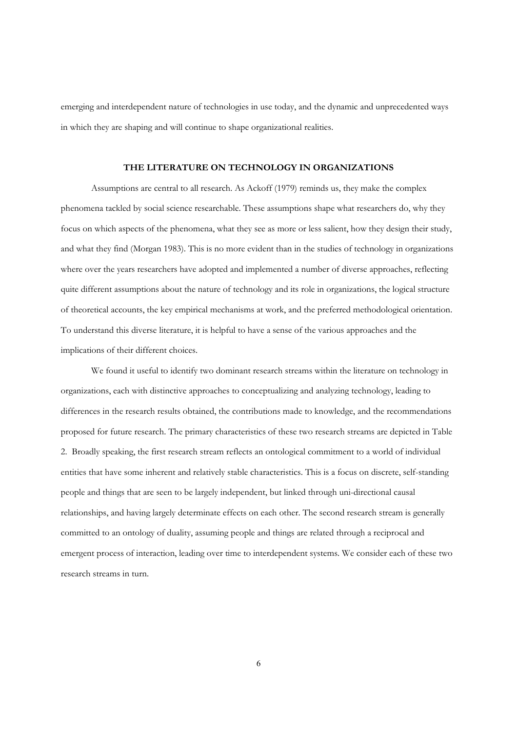emerging and interdependent nature of technologies in use today, and the dynamic and unprecedented ways in which they are shaping and will continue to shape organizational realities.

## **THE LITERATURE ON TECHNOLOGY IN ORGANIZATIONS**

Assumptions are central to all research. As Ackoff (1979) reminds us, they make the complex phenomena tackled by social science researchable. These assumptions shape what researchers do, why they focus on which aspects of the phenomena, what they see as more or less salient, how they design their study, and what they find (Morgan 1983). This is no more evident than in the studies of technology in organizations where over the years researchers have adopted and implemented a number of diverse approaches, reflecting quite different assumptions about the nature of technology and its role in organizations, the logical structure of theoretical accounts, the key empirical mechanisms at work, and the preferred methodological orientation. To understand this diverse literature, it is helpful to have a sense of the various approaches and the implications of their different choices.

We found it useful to identify two dominant research streams within the literature on technology in organizations, each with distinctive approaches to conceptualizing and analyzing technology, leading to differences in the research results obtained, the contributions made to knowledge, and the recommendations proposed for future research. The primary characteristics of these two research streams are depicted in Table 2. Broadly speaking, the first research stream reflects an ontological commitment to a world of individual entities that have some inherent and relatively stable characteristics. This is a focus on discrete, self-standing people and things that are seen to be largely independent, but linked through uni-directional causal relationships, and having largely determinate effects on each other. The second research stream is generally committed to an ontology of duality, assuming people and things are related through a reciprocal and emergent process of interaction, leading over time to interdependent systems. We consider each of these two research streams in turn.

6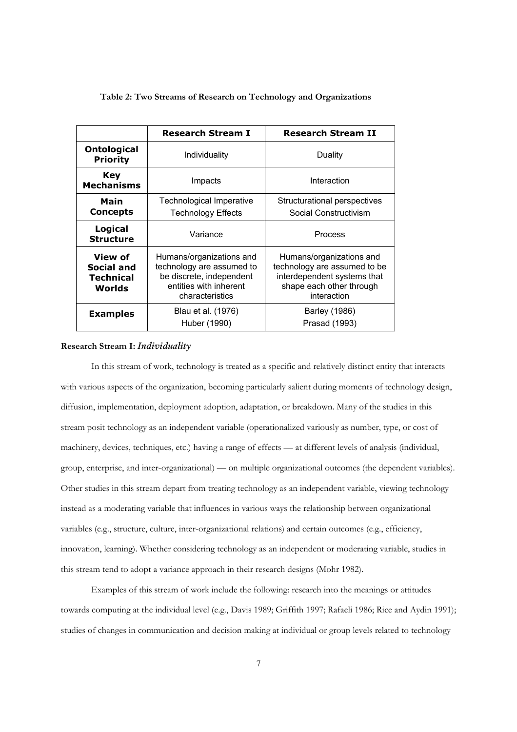|                                                       | <b>Research Stream I</b>                                                                                                       | <b>Research Stream II</b>                                                                                                          |  |
|-------------------------------------------------------|--------------------------------------------------------------------------------------------------------------------------------|------------------------------------------------------------------------------------------------------------------------------------|--|
| <b>Ontological</b><br><b>Priority</b>                 | Individuality                                                                                                                  | Duality                                                                                                                            |  |
| Key<br><b>Mechanisms</b>                              | Impacts                                                                                                                        | Interaction                                                                                                                        |  |
| Main<br><b>Concepts</b>                               | Technological Imperative<br><b>Technology Effects</b>                                                                          | Structurational perspectives<br>Social Constructivism                                                                              |  |
| Logical<br><b>Structure</b>                           | Variance                                                                                                                       | Process                                                                                                                            |  |
| View of<br>Social and<br>Technical<br>Worlds          | Humans/organizations and<br>technology are assumed to<br>be discrete, independent<br>entities with inherent<br>characteristics | Humans/organizations and<br>technology are assumed to be<br>interdependent systems that<br>shape each other through<br>interaction |  |
| Blau et al. (1976)<br><b>Examples</b><br>Huber (1990) |                                                                                                                                | Barley (1986)<br>Prasad (1993)                                                                                                     |  |

# **Table 2: Two Streams of Research on Technology and Organizations**

#### **Research Stream I:** *Individuality*

 In this stream of work, technology is treated as a specific and relatively distinct entity that interacts with various aspects of the organization, becoming particularly salient during moments of technology design, diffusion, implementation, deployment adoption, adaptation, or breakdown. Many of the studies in this stream posit technology as an independent variable (operationalized variously as number, type, or cost of machinery, devices, techniques, etc.) having a range of effects — at different levels of analysis (individual, group, enterprise, and inter-organizational) — on multiple organizational outcomes (the dependent variables). Other studies in this stream depart from treating technology as an independent variable, viewing technology instead as a moderating variable that influences in various ways the relationship between organizational variables (e.g., structure, culture, inter-organizational relations) and certain outcomes (e.g., efficiency, innovation, learning). Whether considering technology as an independent or moderating variable, studies in this stream tend to adopt a variance approach in their research designs (Mohr 1982).

Examples of this stream of work include the following: research into the meanings or attitudes towards computing at the individual level (e.g., Davis 1989; Griffith 1997; Rafaeli 1986; Rice and Aydin 1991); studies of changes in communication and decision making at individual or group levels related to technology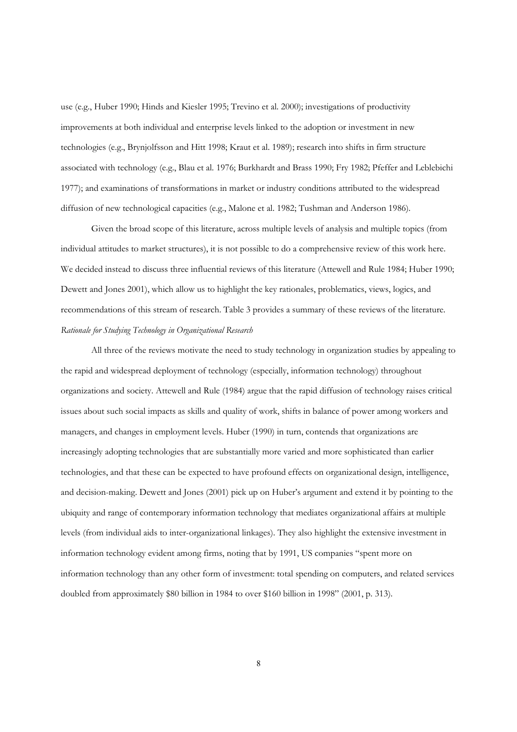use (e.g., Huber 1990; Hinds and Kiesler 1995; Trevino et al. 2000); investigations of productivity improvements at both individual and enterprise levels linked to the adoption or investment in new technologies (e.g., Brynjolfsson and Hitt 1998; Kraut et al. 1989); research into shifts in firm structure associated with technology (e.g., Blau et al. 1976; Burkhardt and Brass 1990; Fry 1982; Pfeffer and Leblebichi 1977); and examinations of transformations in market or industry conditions attributed to the widespread diffusion of new technological capacities (e.g., Malone et al. 1982; Tushman and Anderson 1986).

Given the broad scope of this literature, across multiple levels of analysis and multiple topics (from individual attitudes to market structures), it is not possible to do a comprehensive review of this work here. We decided instead to discuss three influential reviews of this literature (Attewell and Rule 1984; Huber 1990; Dewett and Jones 2001), which allow us to highlight the key rationales, problematics, views, logics, and recommendations of this stream of research. Table 3 provides a summary of these reviews of the literature. *Rationale for Studying Technology in Organizational Research* 

 All three of the reviews motivate the need to study technology in organization studies by appealing to the rapid and widespread deployment of technology (especially, information technology) throughout organizations and society. Attewell and Rule (1984) argue that the rapid diffusion of technology raises critical issues about such social impacts as skills and quality of work, shifts in balance of power among workers and managers, and changes in employment levels. Huber (1990) in turn, contends that organizations are increasingly adopting technologies that are substantially more varied and more sophisticated than earlier technologies, and that these can be expected to have profound effects on organizational design, intelligence, and decision-making. Dewett and Jones (2001) pick up on Huber's argument and extend it by pointing to the ubiquity and range of contemporary information technology that mediates organizational affairs at multiple levels (from individual aids to inter-organizational linkages). They also highlight the extensive investment in information technology evident among firms, noting that by 1991, US companies "spent more on information technology than any other form of investment: total spending on computers, and related services doubled from approximately \$80 billion in 1984 to over \$160 billion in 1998" (2001, p. 313).

8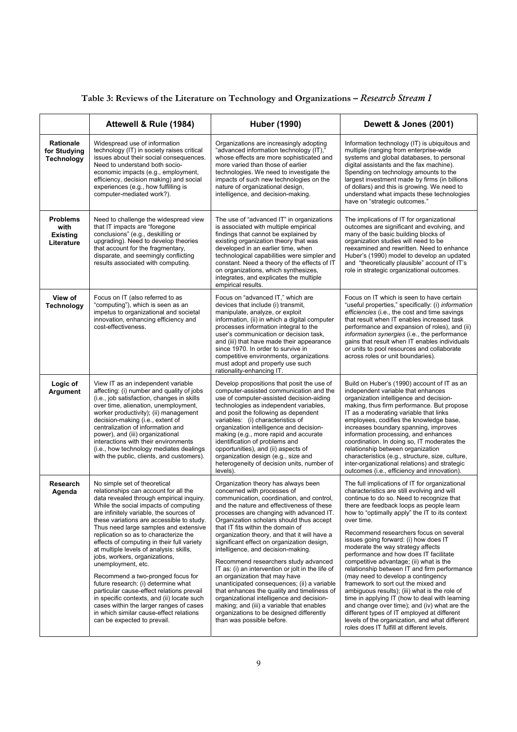| Table 3: Reviews of the Literature on Technology and Organizations - Research Stream I |  |  |  |
|----------------------------------------------------------------------------------------|--|--|--|
|----------------------------------------------------------------------------------------|--|--|--|

|                                                          | Attewell & Rule (1984)                                                                                                                                                                                                                                                                                                                                                                                                                                                                                                                                                                                                                                                                                                                                                           | <b>Huber (1990)</b>                                                                                                                                                                                                                                                                                                                                                                                                                                                                                                                                                                                                                                                                                                                                                                                                          | Dewett & Jones (2001)                                                                                                                                                                                                                                                                                                                                                                                                                                                                                                                                                                                                                                                                                                                                                                                                                                                                              |
|----------------------------------------------------------|----------------------------------------------------------------------------------------------------------------------------------------------------------------------------------------------------------------------------------------------------------------------------------------------------------------------------------------------------------------------------------------------------------------------------------------------------------------------------------------------------------------------------------------------------------------------------------------------------------------------------------------------------------------------------------------------------------------------------------------------------------------------------------|------------------------------------------------------------------------------------------------------------------------------------------------------------------------------------------------------------------------------------------------------------------------------------------------------------------------------------------------------------------------------------------------------------------------------------------------------------------------------------------------------------------------------------------------------------------------------------------------------------------------------------------------------------------------------------------------------------------------------------------------------------------------------------------------------------------------------|----------------------------------------------------------------------------------------------------------------------------------------------------------------------------------------------------------------------------------------------------------------------------------------------------------------------------------------------------------------------------------------------------------------------------------------------------------------------------------------------------------------------------------------------------------------------------------------------------------------------------------------------------------------------------------------------------------------------------------------------------------------------------------------------------------------------------------------------------------------------------------------------------|
| Rationale<br>for Studying<br>Technology                  | Widespread use of information<br>technology (IT) in society raises critical<br>issues about their social consequences.<br>Need to understand both socio-<br>economic impacts (e.g., employment,<br>efficiency, decision making) and social<br>experiences (e.g., how fulfilling is<br>computer-mediated work?).                                                                                                                                                                                                                                                                                                                                                                                                                                                                  | Organizations are increasingly adopting<br>"advanced information technology (IT),"<br>whose effects are more sophisticated and<br>more varied than those of earlier<br>technologies. We need to investigate the<br>impacts of such new technologies on the<br>nature of organizational design,<br>intelligence, and decision-making.                                                                                                                                                                                                                                                                                                                                                                                                                                                                                         | Information technology (IT) is ubiquitous and<br>multiple (ranging from enterprise-wide<br>systems and global databases, to personal<br>digital assistants and the fax machine).<br>Spending on technology amounts to the<br>largest investment made by firms (in billions<br>of dollars) and this is growing. We need to<br>understand what impacts these technologies<br>have on "strategic outcomes."                                                                                                                                                                                                                                                                                                                                                                                                                                                                                           |
| <b>Problems</b><br>with<br><b>Existing</b><br>Literature | Need to challenge the widespread view<br>that IT impacts are "foregone"<br>conclusions" (e.g., deskilling or<br>upgrading). Need to develop theories<br>that account for the fragmentary,<br>disparate, and seemingly conflicting<br>results associated with computing.                                                                                                                                                                                                                                                                                                                                                                                                                                                                                                          | The use of "advanced IT" in organizations<br>is associated with multiple empirical<br>findings that cannot be explained by<br>existing organization theory that was<br>developed in an earlier time, when<br>technological capabilities were simpler and<br>constant. Need a theory of the effects of IT<br>on organizations, which synthesizes,<br>integrates, and explicates the multiple<br>empirical results.                                                                                                                                                                                                                                                                                                                                                                                                            | The implications of IT for organizational<br>outcomes are significant and evolving, and<br>many of the basic building blocks of<br>organization studies will need to be<br>reexamined and rewritten. Need to enhance<br>Huber's (1990) model to develop an updated<br>and "theoretically plausible" account of IT's<br>role in strategic organizational outcomes.                                                                                                                                                                                                                                                                                                                                                                                                                                                                                                                                  |
| View of<br><b>Technology</b>                             | Focus on IT (also referred to as<br>"computing"), which is seen as an<br>impetus to organizational and societal<br>innovation, enhancing efficiency and<br>cost-effectiveness.                                                                                                                                                                                                                                                                                                                                                                                                                                                                                                                                                                                                   | Focus on "advanced IT," which are<br>devices that include (i) transmit,<br>manipulate, analyze, or exploit<br>information, (ii) in which a digital computer<br>processes information integral to the<br>user's communication or decision task,<br>and (iii) that have made their appearance<br>since 1970. In order to survive in<br>competitive environments, organizations<br>must adopt and properly use such<br>rationality-enhancing IT.                                                                                                                                                                                                                                                                                                                                                                                | Focus on IT which is seen to have certain<br>"useful properties," specifically: (i) information<br><i>efficiencies</i> (i.e., the cost and time savings<br>that result when IT enables increased task<br>performance and expansion of roles), and (ii)<br>information synergies (i.e., the performance<br>gains that result when IT enables individuals<br>or units to pool resources and collaborate<br>across roles or unit boundaries).                                                                                                                                                                                                                                                                                                                                                                                                                                                         |
| Logic of<br>Argument                                     | View IT as an independent variable<br>affecting: (i) number and quality of jobs<br>(i.e., job satisfaction, changes in skills<br>over time, alienation, unemployment,<br>worker productivity); (ii) management<br>decision-making (i.e., extent of<br>centralization of information and<br>power), and (iii) organizational<br>interactions with their environments<br>(i.e., how technology mediates dealings<br>with the public, clients, and customers).                                                                                                                                                                                                                                                                                                                      | Develop propositions that posit the use of<br>computer-assisted communication and the<br>use of computer-assisted decision-aiding<br>technologies as independent variables,<br>and posit the following as dependent<br>variables: (i) characteristics of<br>organization intelligence and decision-<br>making (e.g., more rapid and accurate<br>identification of problems and<br>opportunities), and (ii) aspects of<br>organization design (e.g., size and<br>heterogeneity of decision units, number of<br>levels).                                                                                                                                                                                                                                                                                                       | Build on Huber's (1990) account of IT as an<br>independent variable that enhances<br>organization intelligence and decision-<br>making, thus firm performance. But propose<br>IT as a moderating variable that links<br>employees, codifies the knowledge base,<br>increases boundary spanning, improves<br>information processing, and enhances<br>coordination. In doing so, IT moderates the<br>relationship between organization<br>characteristics (e.g., structure, size, culture,<br>inter-organizational relations) and strategic<br>outcomes (i.e., efficiency and innovation).                                                                                                                                                                                                                                                                                                           |
| Research<br>Agenda                                       | No simple set of theoretical<br>relationships can account for all the<br>data revealed through empirical inquiry.<br>While the social impacts of computing<br>are infinitely variable, the sources of<br>these variations are accessible to study.<br>Thus need large samples and extensive<br>replication so as to characterize the<br>effects of computing in their full variety<br>at multiple levels of analysis: skills,<br>jobs, workers, organizations,<br>unemployment, etc.<br>Recommend a two-pronged focus for<br>future research: (i) determine what<br>particular cause-effect relations prevail<br>in specific contexts, and (ii) locate such<br>cases within the larger ranges of cases<br>in which similar cause-effect relations<br>can be expected to prevail. | Organization theory has always been<br>concerned with processes of<br>communication, coordination, and control,<br>and the nature and effectiveness of these<br>processes are changing with advanced IT.<br>Organization scholars should thus accept<br>that IT fits within the domain of<br>organization theory, and that it will have a<br>significant effect on organization design,<br>intelligence, and decision-making.<br>Recommend researchers study advanced<br>IT as: (i) an intervention or jolt in the life of<br>an organization that may have<br>unanticipated consequences; (ii) a variable<br>that enhances the quality and timeliness of<br>organizational intelligence and decision-<br>making; and (iii) a variable that enables<br>organizations to be designed differently<br>than was possible before. | The full implications of IT for organizational<br>characteristics are still evolving and will<br>continue to do so. Need to recognize that<br>there are feedback loops as people learn<br>how to "optimally apply" the IT to its context<br>over time.<br>Recommend researchers focus on several<br>issues going forward: (i) how does IT<br>moderate the way strategy affects<br>performance and how does IT facilitate<br>competitive advantage; (ii) what is the<br>relationship between IT and firm performance<br>(may need to develop a contingency<br>framework to sort out the mixed and<br>ambiguous results); (iii) what is the role of<br>time in applying IT (how to deal with learning<br>and change over time); and (iv) what are the<br>different types of IT employed at different<br>levels of the organization, and what different<br>roles does IT fulfill at different levels. |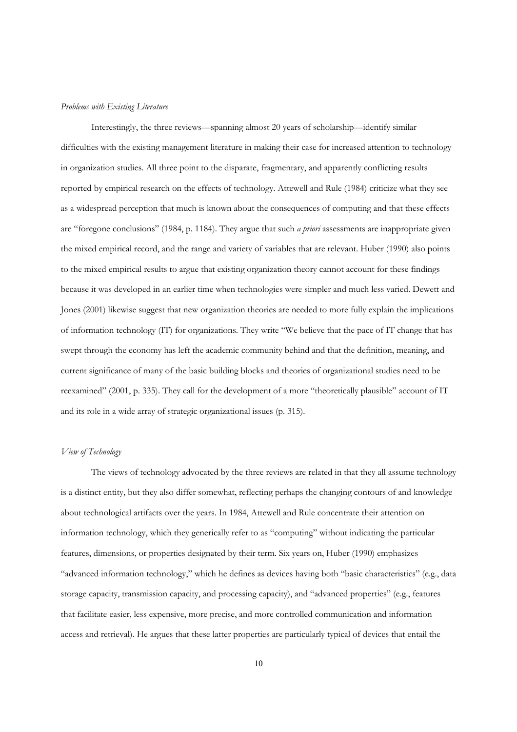#### *Problems with Existing Literature*

 Interestingly, the three reviews—spanning almost 20 years of scholarship—identify similar difficulties with the existing management literature in making their case for increased attention to technology in organization studies. All three point to the disparate, fragmentary, and apparently conflicting results reported by empirical research on the effects of technology. Attewell and Rule (1984) criticize what they see as a widespread perception that much is known about the consequences of computing and that these effects are "foregone conclusions" (1984, p. 1184). They argue that such *a priori* assessments are inappropriate given the mixed empirical record, and the range and variety of variables that are relevant. Huber (1990) also points to the mixed empirical results to argue that existing organization theory cannot account for these findings because it was developed in an earlier time when technologies were simpler and much less varied. Dewett and Jones (2001) likewise suggest that new organization theories are needed to more fully explain the implications of information technology (IT) for organizations. They write "We believe that the pace of IT change that has swept through the economy has left the academic community behind and that the definition, meaning, and current significance of many of the basic building blocks and theories of organizational studies need to be reexamined" (2001, p. 335). They call for the development of a more "theoretically plausible" account of IT and its role in a wide array of strategic organizational issues (p. 315).

# *View of Technology*

 The views of technology advocated by the three reviews are related in that they all assume technology is a distinct entity, but they also differ somewhat, reflecting perhaps the changing contours of and knowledge about technological artifacts over the years. In 1984, Attewell and Rule concentrate their attention on information technology, which they generically refer to as "computing" without indicating the particular features, dimensions, or properties designated by their term. Six years on, Huber (1990) emphasizes "advanced information technology," which he defines as devices having both "basic characteristics" (e.g., data storage capacity, transmission capacity, and processing capacity), and "advanced properties" (e.g., features that facilitate easier, less expensive, more precise, and more controlled communication and information access and retrieval). He argues that these latter properties are particularly typical of devices that entail the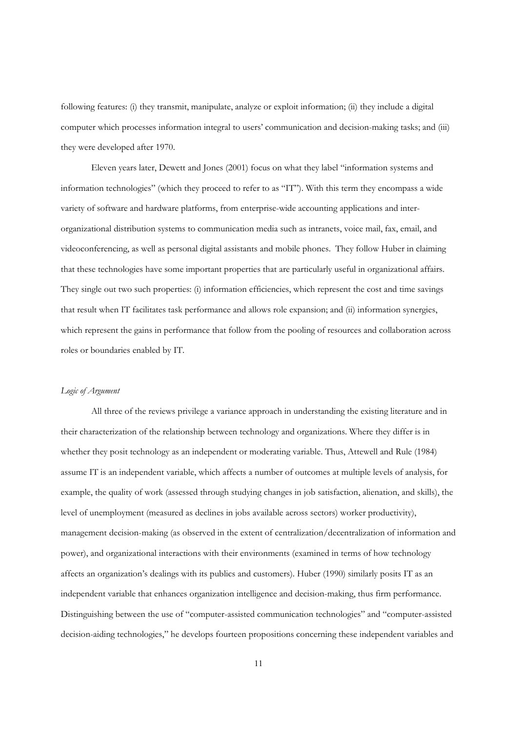following features: (i) they transmit, manipulate, analyze or exploit information; (ii) they include a digital computer which processes information integral to users' communication and decision-making tasks; and (iii) they were developed after 1970.

Eleven years later, Dewett and Jones (2001) focus on what they label "information systems and information technologies" (which they proceed to refer to as "IT"). With this term they encompass a wide variety of software and hardware platforms, from enterprise-wide accounting applications and interorganizational distribution systems to communication media such as intranets, voice mail, fax, email, and videoconferencing, as well as personal digital assistants and mobile phones. They follow Huber in claiming that these technologies have some important properties that are particularly useful in organizational affairs. They single out two such properties: (i) information efficiencies, which represent the cost and time savings that result when IT facilitates task performance and allows role expansion; and (ii) information synergies, which represent the gains in performance that follow from the pooling of resources and collaboration across roles or boundaries enabled by IT.

# *Logic of Argument*

 All three of the reviews privilege a variance approach in understanding the existing literature and in their characterization of the relationship between technology and organizations. Where they differ is in whether they posit technology as an independent or moderating variable. Thus, Attewell and Rule (1984) assume IT is an independent variable, which affects a number of outcomes at multiple levels of analysis, for example, the quality of work (assessed through studying changes in job satisfaction, alienation, and skills), the level of unemployment (measured as declines in jobs available across sectors) worker productivity), management decision-making (as observed in the extent of centralization/decentralization of information and power), and organizational interactions with their environments (examined in terms of how technology affects an organization's dealings with its publics and customers). Huber (1990) similarly posits IT as an independent variable that enhances organization intelligence and decision-making, thus firm performance. Distinguishing between the use of "computer-assisted communication technologies" and "computer-assisted decision-aiding technologies," he develops fourteen propositions concerning these independent variables and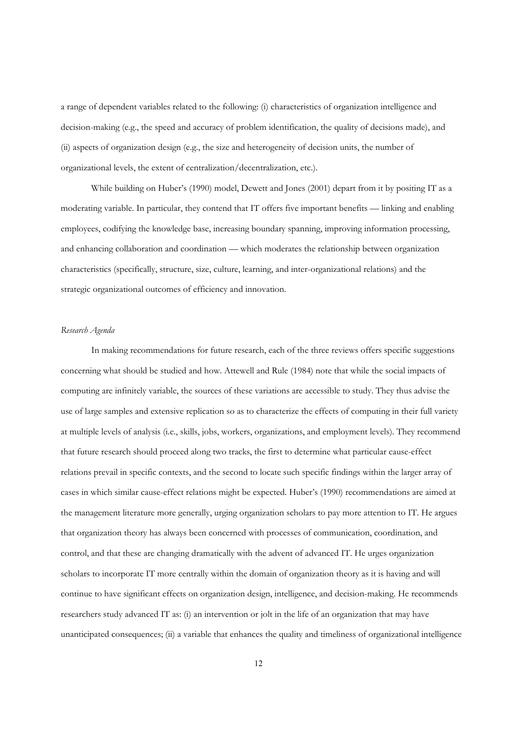a range of dependent variables related to the following: (i) characteristics of organization intelligence and decision-making (e.g., the speed and accuracy of problem identification, the quality of decisions made), and (ii) aspects of organization design (e.g., the size and heterogeneity of decision units, the number of organizational levels, the extent of centralization/decentralization, etc.).

While building on Huber's (1990) model, Dewett and Jones (2001) depart from it by positing IT as a moderating variable. In particular, they contend that IT offers five important benefits — linking and enabling employees, codifying the knowledge base, increasing boundary spanning, improving information processing, and enhancing collaboration and coordination — which moderates the relationship between organization characteristics (specifically, structure, size, culture, learning, and inter-organizational relations) and the strategic organizational outcomes of efficiency and innovation.

# *Research Agenda*

 In making recommendations for future research, each of the three reviews offers specific suggestions concerning what should be studied and how. Attewell and Rule (1984) note that while the social impacts of computing are infinitely variable, the sources of these variations are accessible to study. They thus advise the use of large samples and extensive replication so as to characterize the effects of computing in their full variety at multiple levels of analysis (i.e., skills, jobs, workers, organizations, and employment levels). They recommend that future research should proceed along two tracks, the first to determine what particular cause-effect relations prevail in specific contexts, and the second to locate such specific findings within the larger array of cases in which similar cause-effect relations might be expected. Huber's (1990) recommendations are aimed at the management literature more generally, urging organization scholars to pay more attention to IT. He argues that organization theory has always been concerned with processes of communication, coordination, and control, and that these are changing dramatically with the advent of advanced IT. He urges organization scholars to incorporate IT more centrally within the domain of organization theory as it is having and will continue to have significant effects on organization design, intelligence, and decision-making. He recommends researchers study advanced IT as: (i) an intervention or jolt in the life of an organization that may have unanticipated consequences; (ii) a variable that enhances the quality and timeliness of organizational intelligence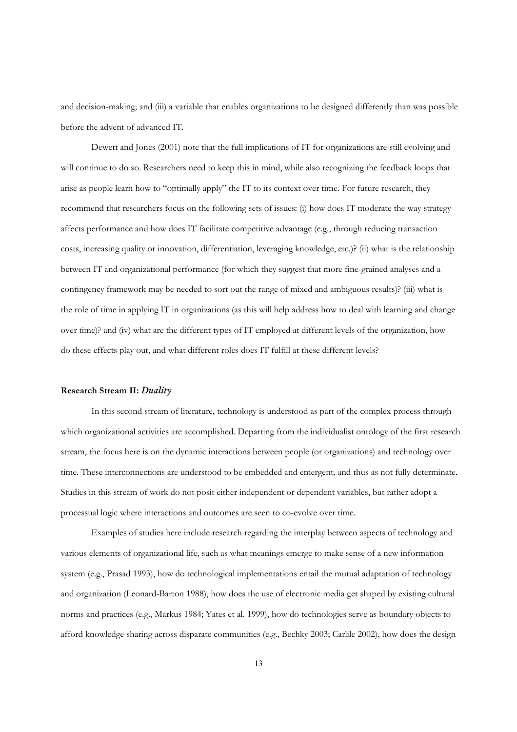and decision-making; and (iii) a variable that enables organizations to be designed differently than was possible before the advent of advanced IT.

 Dewett and Jones (2001) note that the full implications of IT for organizations are still evolving and will continue to do so. Researchers need to keep this in mind, while also recognizing the feedback loops that arise as people learn how to "optimally apply" the IT to its context over time. For future research, they recommend that researchers focus on the following sets of issues: (i) how does IT moderate the way strategy affects performance and how does IT facilitate competitive advantage (e.g., through reducing transaction costs, increasing quality or innovation, differentiation, leveraging knowledge, etc.)? (ii) what is the relationship between IT and organizational performance (for which they suggest that more fine-grained analyses and a contingency framework may be needed to sort out the range of mixed and ambiguous results)? (iii) what is the role of time in applying IT in organizations (as this will help address how to deal with learning and change over time)? and (iv) what are the different types of IT employed at different levels of the organization, how do these effects play out, and what different roles does IT fulfill at these different levels?

#### **Research Stream II:** *Duality*

 In this second stream of literature, technology is understood as part of the complex process through which organizational activities are accomplished. Departing from the individualist ontology of the first research stream, the focus here is on the dynamic interactions between people (or organizations) and technology over time. These interconnections are understood to be embedded and emergent, and thus as not fully determinate. Studies in this stream of work do not posit either independent or dependent variables, but rather adopt a processual logic where interactions and outcomes are seen to co-evolve over time.

Examples of studies here include research regarding the interplay between aspects of technology and various elements of organizational life, such as what meanings emerge to make sense of a new information system (e.g., Prasad 1993), how do technological implementations entail the mutual adaptation of technology and organization (Leonard-Barton 1988), how does the use of electronic media get shaped by existing cultural norms and practices (e.g., Markus 1984; Yates et al. 1999), how do technologies serve as boundary objects to afford knowledge sharing across disparate communities (e.g., Bechky 2003; Carlile 2002), how does the design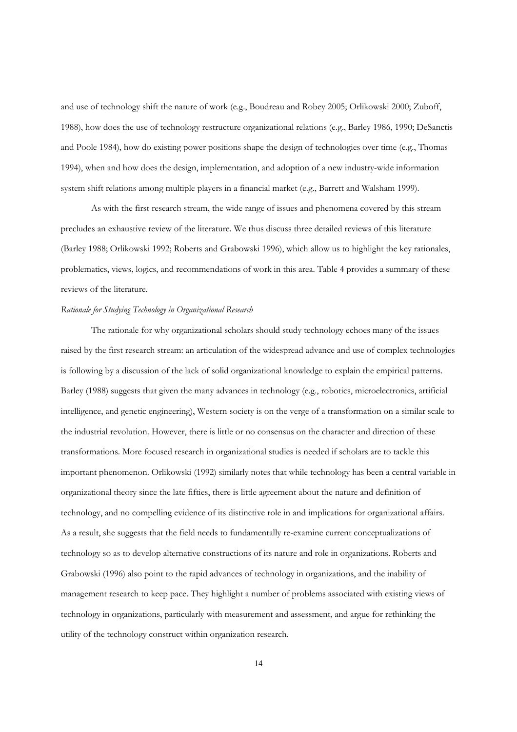and use of technology shift the nature of work (e.g., Boudreau and Robey 2005; Orlikowski 2000; Zuboff, 1988), how does the use of technology restructure organizational relations (e.g., Barley 1986, 1990; DeSanctis and Poole 1984), how do existing power positions shape the design of technologies over time (e.g., Thomas 1994), when and how does the design, implementation, and adoption of a new industry-wide information system shift relations among multiple players in a financial market (e.g., Barrett and Walsham 1999).

As with the first research stream, the wide range of issues and phenomena covered by this stream precludes an exhaustive review of the literature. We thus discuss three detailed reviews of this literature (Barley 1988; Orlikowski 1992; Roberts and Grabowski 1996), which allow us to highlight the key rationales, problematics, views, logics, and recommendations of work in this area. Table 4 provides a summary of these reviews of the literature.

# *Rationale for Studying Technology in Organizational Research*

 The rationale for why organizational scholars should study technology echoes many of the issues raised by the first research stream: an articulation of the widespread advance and use of complex technologies is following by a discussion of the lack of solid organizational knowledge to explain the empirical patterns. Barley (1988) suggests that given the many advances in technology (e.g., robotics, microelectronics, artificial intelligence, and genetic engineering), Western society is on the verge of a transformation on a similar scale to the industrial revolution. However, there is little or no consensus on the character and direction of these transformations. More focused research in organizational studies is needed if scholars are to tackle this important phenomenon. Orlikowski (1992) similarly notes that while technology has been a central variable in organizational theory since the late fifties, there is little agreement about the nature and definition of technology, and no compelling evidence of its distinctive role in and implications for organizational affairs. As a result, she suggests that the field needs to fundamentally re-examine current conceptualizations of technology so as to develop alternative constructions of its nature and role in organizations. Roberts and Grabowski (1996) also point to the rapid advances of technology in organizations, and the inability of management research to keep pace. They highlight a number of problems associated with existing views of technology in organizations, particularly with measurement and assessment, and argue for rethinking the utility of the technology construct within organization research.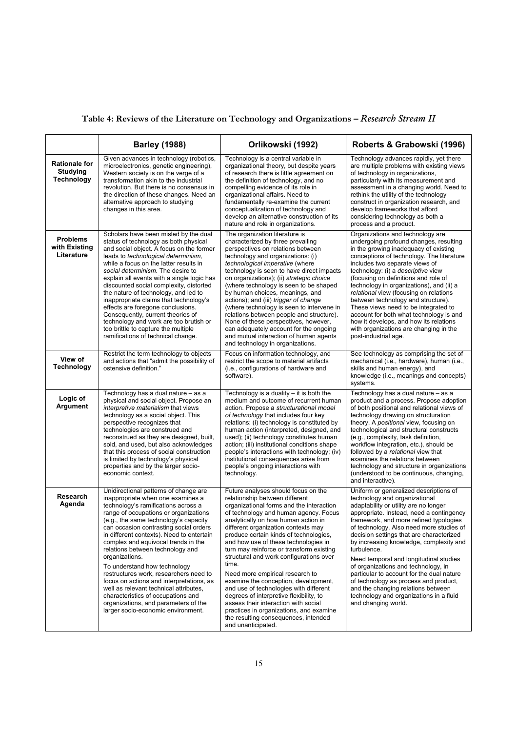| Table 4: Reviews of the Literature on Technology and Organizations - Research Stream II |  |  |
|-----------------------------------------------------------------------------------------|--|--|
|-----------------------------------------------------------------------------------------|--|--|

|                                                       | <b>Barley (1988)</b>                                                                                                                                                                                                                                                                                                                                                                                                                                                                                                                                                                                                                                                        | Orlikowski (1992)                                                                                                                                                                                                                                                                                                                                                                                                                                                                                                                                                                                                                                                                                                                           | Roberts & Grabowski (1996)                                                                                                                                                                                                                                                                                                                                                                                                                                                                                                                                                                                                              |
|-------------------------------------------------------|-----------------------------------------------------------------------------------------------------------------------------------------------------------------------------------------------------------------------------------------------------------------------------------------------------------------------------------------------------------------------------------------------------------------------------------------------------------------------------------------------------------------------------------------------------------------------------------------------------------------------------------------------------------------------------|---------------------------------------------------------------------------------------------------------------------------------------------------------------------------------------------------------------------------------------------------------------------------------------------------------------------------------------------------------------------------------------------------------------------------------------------------------------------------------------------------------------------------------------------------------------------------------------------------------------------------------------------------------------------------------------------------------------------------------------------|-----------------------------------------------------------------------------------------------------------------------------------------------------------------------------------------------------------------------------------------------------------------------------------------------------------------------------------------------------------------------------------------------------------------------------------------------------------------------------------------------------------------------------------------------------------------------------------------------------------------------------------------|
| <b>Rationale for</b><br>Studying<br><b>Technology</b> | Given advances in technology (robotics,<br>microelectronics, genetic engineering),<br>Western society is on the verge of a<br>transformation akin to the industrial<br>revolution. But there is no consensus in<br>the direction of these changes. Need an<br>alternative approach to studying<br>changes in this area.                                                                                                                                                                                                                                                                                                                                                     | Technology is a central variable in<br>organizational theory, but despite years<br>of research there is little agreement on<br>the definition of technology, and no<br>compelling evidence of its role in<br>organizational affairs. Need to<br>fundamentally re-examine the current<br>conceptualization of technology and<br>develop an alternative construction of its<br>nature and role in organizations.                                                                                                                                                                                                                                                                                                                              | Technology advances rapidly, yet there<br>are multiple problems with existing views<br>of technology in organizations,<br>particularly with its measurement and<br>assessment in a changing world. Need to<br>rethink the utility of the technology<br>construct in organization research, and<br>develop frameworks that afford<br>considering technology as both a<br>process and a product.                                                                                                                                                                                                                                          |
| <b>Problems</b><br>with Existing<br>Literature        | Scholars have been misled by the dual<br>status of technology as both physical<br>and social object. A focus on the former<br>leads to <i>technological</i> determinism,<br>while a focus on the latter results in<br>social determinism. The desire to<br>explain all events with a single logic has<br>discounted social complexity, distorted<br>the nature of technology, and led to<br>inappropriate claims that technology's<br>effects are foregone conclusions.<br>Consequently, current theories of<br>technology and work are too brutish or<br>too brittle to capture the multiple<br>ramifications of technical change.                                         | The organization literature is<br>characterized by three prevailing<br>perspectives on relations between<br>technology and organizations: (i)<br>technological imperative (where<br>technology is seen to have direct impacts<br>on organizations); (ii) strategic choice<br>(where technology is seen to be shaped<br>by human choices, meanings, and<br>actions); and (iii) trigger of change<br>(where technology is seen to intervene in<br>relations between people and structure).<br>None of these perspectives, however,<br>can adequately account for the ongoing<br>and mutual interaction of human agents<br>and technology in organizations.                                                                                    | Organizations and technology are<br>undergoing profound changes, resulting<br>in the growing inadequacy of existing<br>conceptions of technology. The literature<br>includes two separate views of<br>technology: (i) a <i>descriptive</i> view<br>(focusing on definitions and role of<br>technology in organizations), and (ii) a<br>relational view (focusing on relations<br>between technology and structure).<br>These views need to be integrated to<br>account for both what technology is and<br>how it develops, and how its relations<br>with organizations are changing in the<br>post-industrial age.                      |
| View of<br><b>Technology</b>                          | Restrict the term technology to objects<br>and actions that "admit the possibility of<br>ostensive definition."                                                                                                                                                                                                                                                                                                                                                                                                                                                                                                                                                             | Focus on information technology, and<br>restrict the scope to material artifacts<br>(i.e., configurations of hardware and<br>software).                                                                                                                                                                                                                                                                                                                                                                                                                                                                                                                                                                                                     | See technology as comprising the set of<br>mechanical (i.e., hardware), human (i.e.,<br>skills and human energy), and<br>knowledge (i.e., meanings and concepts)<br>systems.                                                                                                                                                                                                                                                                                                                                                                                                                                                            |
| Logic of<br><b>Argument</b>                           | Technology has a dual nature - as a<br>physical and social object. Propose an<br><i>interpretive materialism</i> that views<br>technology as a social object. This<br>perspective recognizes that<br>technologies are construed and<br>reconstrued as they are designed, built,<br>sold, and used, but also acknowledges<br>that this process of social construction<br>is limited by technology's physical<br>properties and by the larger socio-<br>economic context.                                                                                                                                                                                                     | Technology is a duality $-$ it is both the<br>medium and outcome of recurrent human<br>action. Propose a structurational model<br>of technology that includes four key<br>relations: (i) technology is constituted by<br>human action (interpreted, designed, and<br>used); (ii) technology constitutes human<br>action; (iii) institutional conditions shape<br>people's interactions with technology; (iv)<br>institutional consequences arise from<br>people's ongoing interactions with<br>technology.                                                                                                                                                                                                                                  | Technology has a dual nature - as a<br>product and a process. Propose adoption<br>of both positional and relational views of<br>technology drawing on structuration<br>theory. A positional view, focusing on<br>technological and structural constructs<br>(e.g., complexity, task definition,<br>workflow integration, etc.), should be<br>followed by a relational view that<br>examines the relations between<br>technology and structure in organizations<br>(understood to be continuous, changing,<br>and interactive).                                                                                                          |
| Research<br>Agenda                                    | Unidirectional patterns of change are<br>inappropriate when one examines a<br>technology's ramifications across a<br>range of occupations or organizations<br>(e.g., the same technology's capacity<br>can occasion contrasting social orders<br>in different contexts). Need to entertain<br>complex and equivocal trends in the<br>relations between technology and<br>organizations.<br>To understand how technology<br>restructures work, researchers need to<br>focus on actions and interpretations, as<br>well as relevant technical attributes,<br>characteristics of occupations and<br>organizations, and parameters of the<br>larger socio-economic environment. | Future analyses should focus on the<br>relationship between different<br>organizational forms and the interaction<br>of technology and human agency. Focus<br>analytically on how human action in<br>different organization contexts may<br>produce certain kinds of technologies,<br>and how use of these technologies in<br>turn may reinforce or transform existing<br>structural and work configurations over<br>time.<br>Need more empirical research to<br>examine the conception, development,<br>and use of technologies with different<br>degrees of interpretive flexibility, to<br>assess their interaction with social<br>practices in organizations, and examine<br>the resulting consequences, intended<br>and unanticipated. | Uniform or generalized descriptions of<br>technology and organizational<br>adaptability or utility are no longer<br>appropriate. Instead, need a contingency<br>framework, and more refined typologies<br>of technology. Also need more studies of<br>decision settings that are characterized<br>by increasing knowledge, complexity and<br>turbulence.<br>Need temporal and longitudinal studies<br>of organizations and technology, in<br>particular to account for the dual nature<br>of technology as process and product,<br>and the changing relations between<br>technology and organizations in a fluid<br>and changing world. |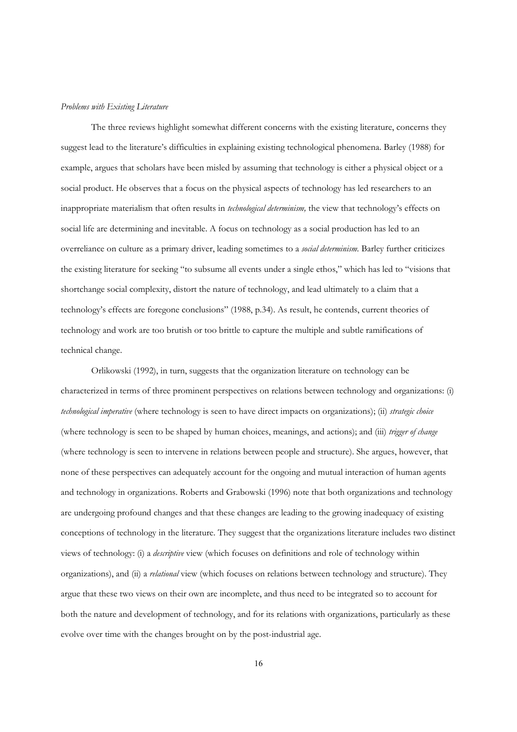# *Problems with Existing Literature*

 The three reviews highlight somewhat different concerns with the existing literature, concerns they suggest lead to the literature's difficulties in explaining existing technological phenomena. Barley (1988) for example, argues that scholars have been misled by assuming that technology is either a physical object or a social product. He observes that a focus on the physical aspects of technology has led researchers to an inappropriate materialism that often results in *technological determinism,* the view that technology's effects on social life are determining and inevitable. A focus on technology as a social production has led to an overreliance on culture as a primary driver, leading sometimes to a *social determinism.* Barley further criticizes the existing literature for seeking "to subsume all events under a single ethos," which has led to "visions that shortchange social complexity, distort the nature of technology, and lead ultimately to a claim that a technology's effects are foregone conclusions" (1988, p.34). As result, he contends, current theories of technology and work are too brutish or too brittle to capture the multiple and subtle ramifications of technical change.

 Orlikowski (1992), in turn, suggests that the organization literature on technology can be characterized in terms of three prominent perspectives on relations between technology and organizations: (i) *technological imperative* (where technology is seen to have direct impacts on organizations); (ii) *strategic choice* (where technology is seen to be shaped by human choices, meanings, and actions); and (iii) *trigger of change* (where technology is seen to intervene in relations between people and structure). She argues, however, that none of these perspectives can adequately account for the ongoing and mutual interaction of human agents and technology in organizations. Roberts and Grabowski (1996) note that both organizations and technology are undergoing profound changes and that these changes are leading to the growing inadequacy of existing conceptions of technology in the literature. They suggest that the organizations literature includes two distinct views of technology: (i) a *descriptive* view (which focuses on definitions and role of technology within organizations), and (ii) a *relational* view (which focuses on relations between technology and structure). They argue that these two views on their own are incomplete, and thus need to be integrated so to account for both the nature and development of technology, and for its relations with organizations, particularly as these evolve over time with the changes brought on by the post-industrial age.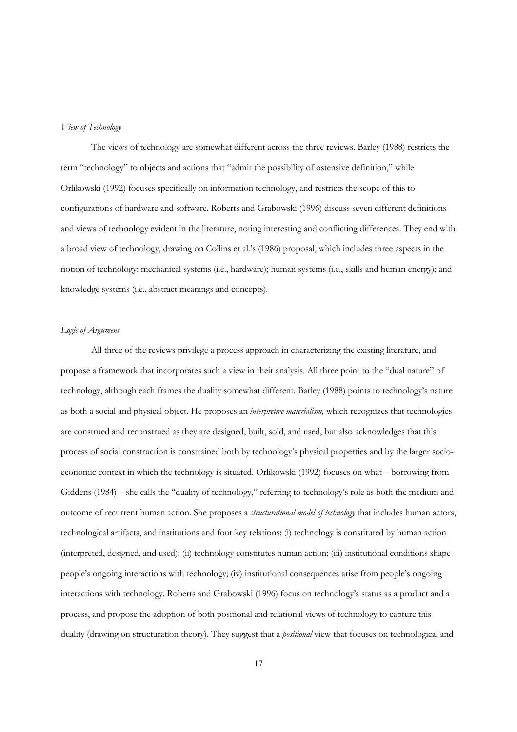## *View of Technology*

 The views of technology are somewhat different across the three reviews. Barley (1988) restricts the term "technology" to objects and actions that "admit the possibility of ostensive definition," while Orlikowski (1992) focuses specifically on information technology, and restricts the scope of this to configurations of hardware and software. Roberts and Grabowski (1996) discuss seven different definitions and views of technology evident in the literature, noting interesting and conflicting differences. They end with a broad view of technology, drawing on Collins et al.'s (1986) proposal, which includes three aspects in the notion of technology: mechanical systems (i.e., hardware); human systems (i.e., skills and human energy); and knowledge systems (i.e., abstract meanings and concepts).

# *Logic of Argument*

 All three of the reviews privilege a process approach in characterizing the existing literature, and propose a framework that incorporates such a view in their analysis. All three point to the "dual nature" of technology, although each frames the duality somewhat different. Barley (1988) points to technology's nature as both a social and physical object. He proposes an *interpretive materialism,* which recognizes that technologies are construed and reconstrued as they are designed, built, sold, and used, but also acknowledges that this process of social construction is constrained both by technology's physical properties and by the larger socioeconomic context in which the technology is situated. Orlikowski (1992) focuses on what—borrowing from Giddens (1984)—she calls the "duality of technology," referring to technology's role as both the medium and outcome of recurrent human action. She proposes a *structurational model of technology* that includes human actors, technological artifacts, and institutions and four key relations: (i) technology is constituted by human action (interpreted, designed, and used); (ii) technology constitutes human action; (iii) institutional conditions shape people's ongoing interactions with technology; (iv) institutional consequences arise from people's ongoing interactions with technology. Roberts and Grabowski (1996) focus on technology's status as a product and a process, and propose the adoption of both positional and relational views of technology to capture this duality (drawing on structuration theory). They suggest that a *positional* view that focuses on technological and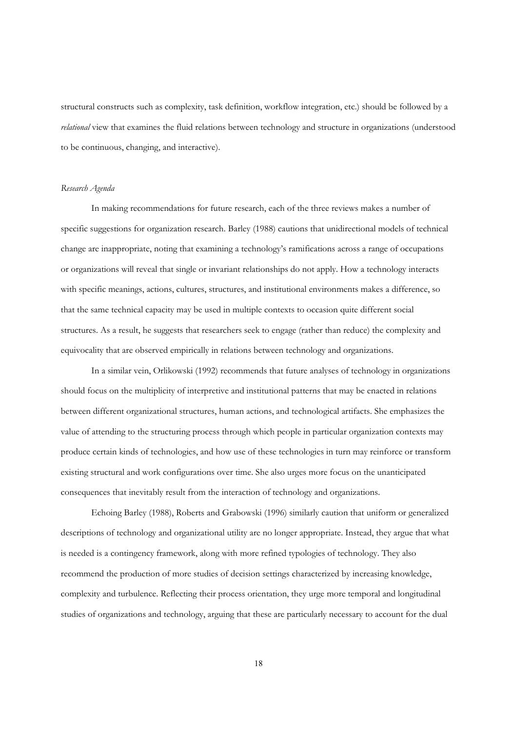structural constructs such as complexity, task definition, workflow integration, etc.) should be followed by a *relational* view that examines the fluid relations between technology and structure in organizations (understood to be continuous, changing, and interactive).

# *Research Agenda*

 In making recommendations for future research, each of the three reviews makes a number of specific suggestions for organization research. Barley (1988) cautions that unidirectional models of technical change are inappropriate, noting that examining a technology's ramifications across a range of occupations or organizations will reveal that single or invariant relationships do not apply. How a technology interacts with specific meanings, actions, cultures, structures, and institutional environments makes a difference, so that the same technical capacity may be used in multiple contexts to occasion quite different social structures. As a result, he suggests that researchers seek to engage (rather than reduce) the complexity and equivocality that are observed empirically in relations between technology and organizations.

In a similar vein, Orlikowski (1992) recommends that future analyses of technology in organizations should focus on the multiplicity of interpretive and institutional patterns that may be enacted in relations between different organizational structures, human actions, and technological artifacts. She emphasizes the value of attending to the structuring process through which people in particular organization contexts may produce certain kinds of technologies, and how use of these technologies in turn may reinforce or transform existing structural and work configurations over time. She also urges more focus on the unanticipated consequences that inevitably result from the interaction of technology and organizations.

Echoing Barley (1988), Roberts and Grabowski (1996) similarly caution that uniform or generalized descriptions of technology and organizational utility are no longer appropriate. Instead, they argue that what is needed is a contingency framework, along with more refined typologies of technology. They also recommend the production of more studies of decision settings characterized by increasing knowledge, complexity and turbulence. Reflecting their process orientation, they urge more temporal and longitudinal studies of organizations and technology, arguing that these are particularly necessary to account for the dual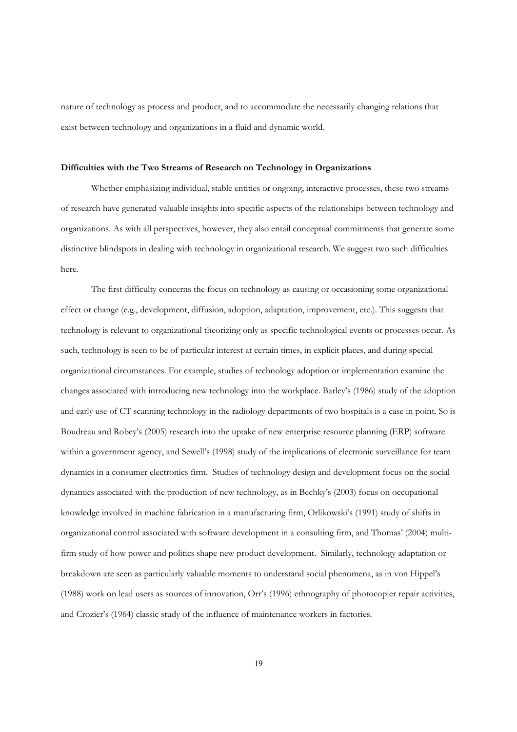nature of technology as process and product, and to accommodate the necessarily changing relations that exist between technology and organizations in a fluid and dynamic world.

#### **Difficulties with the Two Streams of Research on Technology in Organizations**

Whether emphasizing individual, stable entities or ongoing, interactive processes, these two streams of research have generated valuable insights into specific aspects of the relationships between technology and organizations. As with all perspectives, however, they also entail conceptual commitments that generate some distinctive blindspots in dealing with technology in organizational research. We suggest two such difficulties here.

The first difficulty concerns the focus on technology as causing or occasioning some organizational effect or change (e.g., development, diffusion, adoption, adaptation, improvement, etc.). This suggests that technology is relevant to organizational theorizing only as specific technological events or processes occur. As such, technology is seen to be of particular interest at certain times, in explicit places, and during special organizational circumstances. For example, studies of technology adoption or implementation examine the changes associated with introducing new technology into the workplace. Barley's (1986) study of the adoption and early use of CT scanning technology in the radiology departments of two hospitals is a case in point. So is Boudreau and Robey's (2005) research into the uptake of new enterprise resource planning (ERP) software within a government agency, and Sewell's (1998) study of the implications of electronic surveillance for team dynamics in a consumer electronics firm. Studies of technology design and development focus on the social dynamics associated with the production of new technology, as in Bechky's (2003) focus on occupational knowledge involved in machine fabrication in a manufacturing firm, Orlikowski's (1991) study of shifts in organizational control associated with software development in a consulting firm, and Thomas' (2004) multifirm study of how power and politics shape new product development. Similarly, technology adaptation or breakdown are seen as particularly valuable moments to understand social phenomena, as in von Hippel's (1988) work on lead users as sources of innovation, Orr's (1996) ethnography of photocopier repair activities, and Crozier's (1964) classic study of the influence of maintenance workers in factories.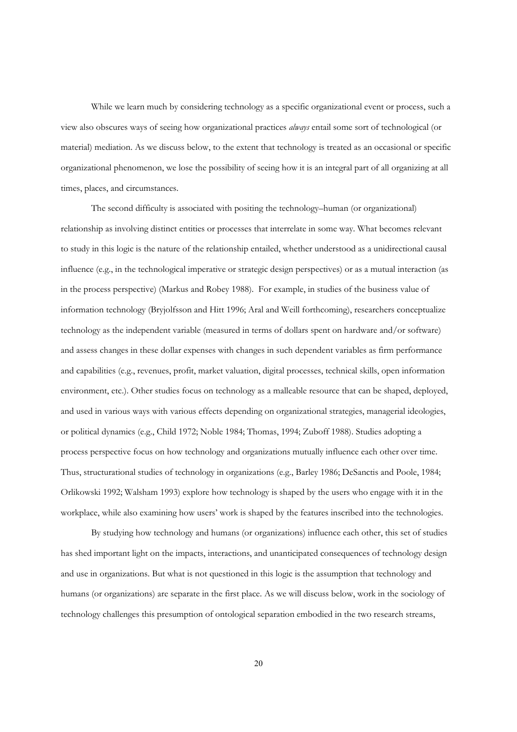While we learn much by considering technology as a specific organizational event or process, such a view also obscures ways of seeing how organizational practices *always* entail some sort of technological (or material) mediation. As we discuss below, to the extent that technology is treated as an occasional or specific organizational phenomenon, we lose the possibility of seeing how it is an integral part of all organizing at all times, places, and circumstances.

The second difficulty is associated with positing the technology–human (or organizational) relationship as involving distinct entities or processes that interrelate in some way. What becomes relevant to study in this logic is the nature of the relationship entailed, whether understood as a unidirectional causal influence (e.g., in the technological imperative or strategic design perspectives) or as a mutual interaction (as in the process perspective) (Markus and Robey 1988). For example, in studies of the business value of information technology (Bryjolfsson and Hitt 1996; Aral and Weill forthcoming), researchers conceptualize technology as the independent variable (measured in terms of dollars spent on hardware and/or software) and assess changes in these dollar expenses with changes in such dependent variables as firm performance and capabilities (e.g., revenues, profit, market valuation, digital processes, technical skills, open information environment, etc.). Other studies focus on technology as a malleable resource that can be shaped, deployed, and used in various ways with various effects depending on organizational strategies, managerial ideologies, or political dynamics (e.g., Child 1972; Noble 1984; Thomas, 1994; Zuboff 1988). Studies adopting a process perspective focus on how technology and organizations mutually influence each other over time. Thus, structurational studies of technology in organizations (e.g., Barley 1986; DeSanctis and Poole, 1984; Orlikowski 1992; Walsham 1993) explore how technology is shaped by the users who engage with it in the workplace, while also examining how users' work is shaped by the features inscribed into the technologies.

By studying how technology and humans (or organizations) influence each other, this set of studies has shed important light on the impacts, interactions, and unanticipated consequences of technology design and use in organizations. But what is not questioned in this logic is the assumption that technology and humans (or organizations) are separate in the first place. As we will discuss below, work in the sociology of technology challenges this presumption of ontological separation embodied in the two research streams,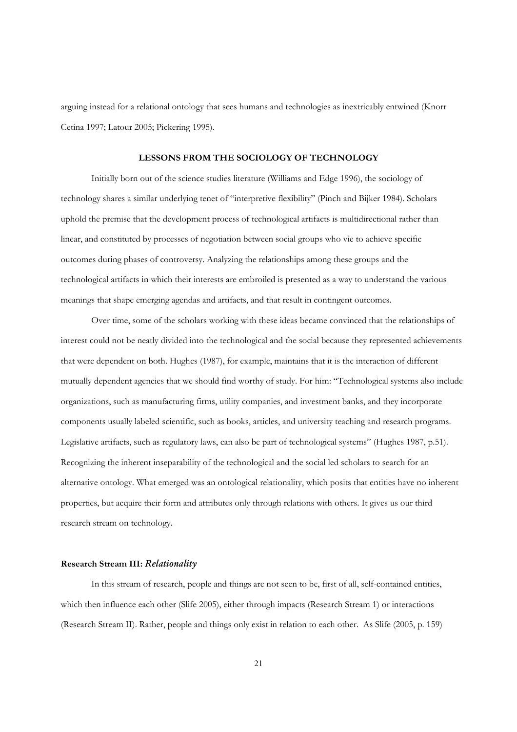arguing instead for a relational ontology that sees humans and technologies as inextricably entwined (Knorr Cetina 1997; Latour 2005; Pickering 1995).

#### **LESSONS FROM THE SOCIOLOGY OF TECHNOLOGY**

Initially born out of the science studies literature (Williams and Edge 1996), the sociology of technology shares a similar underlying tenet of "interpretive flexibility" (Pinch and Bijker 1984). Scholars uphold the premise that the development process of technological artifacts is multidirectional rather than linear, and constituted by processes of negotiation between social groups who vie to achieve specific outcomes during phases of controversy. Analyzing the relationships among these groups and the technological artifacts in which their interests are embroiled is presented as a way to understand the various meanings that shape emerging agendas and artifacts, and that result in contingent outcomes.

Over time, some of the scholars working with these ideas became convinced that the relationships of interest could not be neatly divided into the technological and the social because they represented achievements that were dependent on both. Hughes (1987), for example, maintains that it is the interaction of different mutually dependent agencies that we should find worthy of study. For him: "Technological systems also include organizations, such as manufacturing firms, utility companies, and investment banks, and they incorporate components usually labeled scientific, such as books, articles, and university teaching and research programs. Legislative artifacts, such as regulatory laws, can also be part of technological systems" (Hughes 1987, p.51). Recognizing the inherent inseparability of the technological and the social led scholars to search for an alternative ontology. What emerged was an ontological relationality, which posits that entities have no inherent properties, but acquire their form and attributes only through relations with others. It gives us our third research stream on technology.

## **Research Stream III:** *Relationality*

In this stream of research, people and things are not seen to be, first of all, self-contained entities, which then influence each other (Slife 2005), either through impacts (Research Stream 1) or interactions (Research Stream II). Rather, people and things only exist in relation to each other. As Slife (2005, p. 159)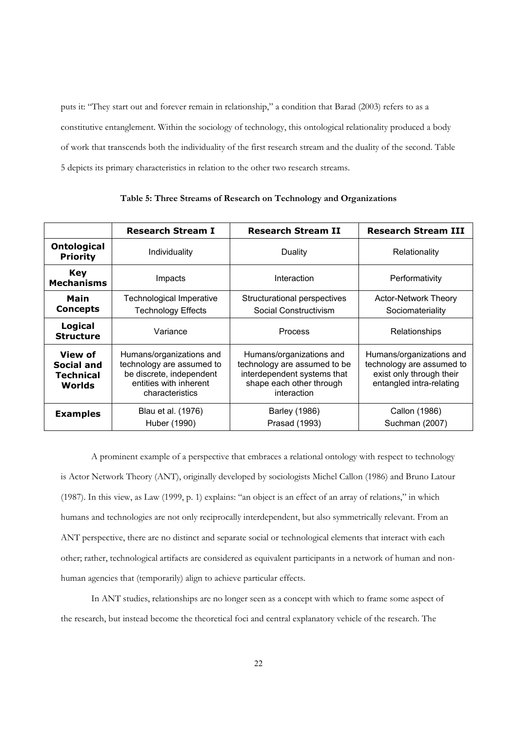puts it: "They start out and forever remain in relationship," a condition that Barad (2003) refers to as a constitutive entanglement. Within the sociology of technology, this ontological relationality produced a body of work that transcends both the individuality of the first research stream and the duality of the second. Table 5 depicts its primary characteristics in relation to the other two research streams.

|                                                     | <b>Research Stream I</b>                                                                                                       | <b>Research Stream II</b>                                                                                                          | <b>Research Stream III</b>                                                                                    |
|-----------------------------------------------------|--------------------------------------------------------------------------------------------------------------------------------|------------------------------------------------------------------------------------------------------------------------------------|---------------------------------------------------------------------------------------------------------------|
| <b>Ontological</b><br><b>Priority</b>               | Individuality                                                                                                                  | Duality                                                                                                                            | Relationality                                                                                                 |
| <b>Key</b><br><b>Mechanisms</b>                     | Impacts                                                                                                                        | Interaction                                                                                                                        | Performativity                                                                                                |
| Main<br><b>Concepts</b>                             | Technological Imperative<br><b>Technology Effects</b>                                                                          | Structurational perspectives<br>Social Constructivism                                                                              | <b>Actor-Network Theory</b><br>Sociomateriality                                                               |
| Logical<br><b>Structure</b>                         | Variance                                                                                                                       | Process                                                                                                                            | Relationships                                                                                                 |
| View of<br><b>Social and</b><br>Technical<br>Worlds | Humans/organizations and<br>technology are assumed to<br>be discrete, independent<br>entities with inherent<br>characteristics | Humans/organizations and<br>technology are assumed to be<br>interdependent systems that<br>shape each other through<br>interaction | Humans/organizations and<br>technology are assumed to<br>exist only through their<br>entangled intra-relating |
| <b>Examples</b>                                     | Blau et al. (1976)<br>Huber (1990)                                                                                             | <b>Barley (1986)</b><br>Prasad (1993)                                                                                              | Callon (1986)<br>Suchman (2007)                                                                               |

**Table 5: Three Streams of Research on Technology and Organizations**

A prominent example of a perspective that embraces a relational ontology with respect to technology is Actor Network Theory (ANT), originally developed by sociologists Michel Callon (1986) and Bruno Latour (1987). In this view, as Law (1999, p. 1) explains: "an object is an effect of an array of relations," in which humans and technologies are not only reciprocally interdependent, but also symmetrically relevant. From an ANT perspective, there are no distinct and separate social or technological elements that interact with each other; rather, technological artifacts are considered as equivalent participants in a network of human and nonhuman agencies that (temporarily) align to achieve particular effects.

In ANT studies, relationships are no longer seen as a concept with which to frame some aspect of the research, but instead become the theoretical foci and central explanatory vehicle of the research. The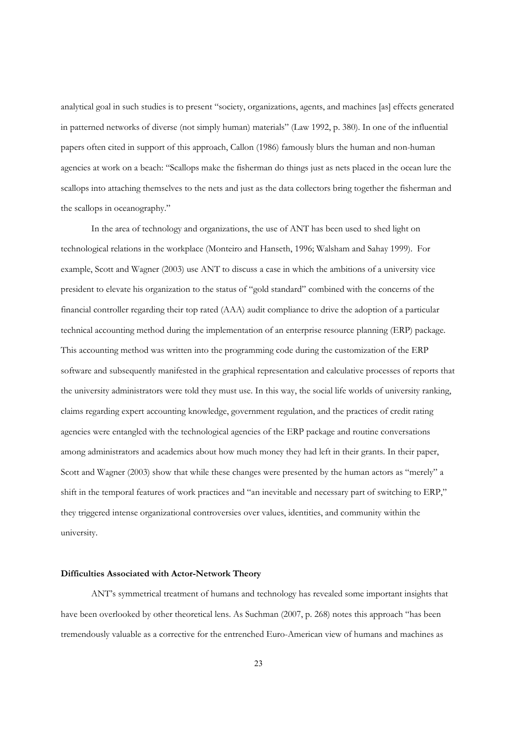analytical goal in such studies is to present "society, organizations, agents, and machines [as] effects generated in patterned networks of diverse (not simply human) materials" (Law 1992, p. 380). In one of the influential papers often cited in support of this approach, Callon (1986) famously blurs the human and non-human agencies at work on a beach: "Scallops make the fisherman do things just as nets placed in the ocean lure the scallops into attaching themselves to the nets and just as the data collectors bring together the fisherman and the scallops in oceanography."

In the area of technology and organizations, the use of ANT has been used to shed light on technological relations in the workplace (Monteiro and Hanseth, 1996; Walsham and Sahay 1999). For example, Scott and Wagner (2003) use ANT to discuss a case in which the ambitions of a university vice president to elevate his organization to the status of "gold standard" combined with the concerns of the financial controller regarding their top rated (AAA) audit compliance to drive the adoption of a particular technical accounting method during the implementation of an enterprise resource planning (ERP) package. This accounting method was written into the programming code during the customization of the ERP software and subsequently manifested in the graphical representation and calculative processes of reports that the university administrators were told they must use. In this way, the social life worlds of university ranking, claims regarding expert accounting knowledge, government regulation, and the practices of credit rating agencies were entangled with the technological agencies of the ERP package and routine conversations among administrators and academics about how much money they had left in their grants. In their paper, Scott and Wagner (2003) show that while these changes were presented by the human actors as "merely" a shift in the temporal features of work practices and "an inevitable and necessary part of switching to ERP," they triggered intense organizational controversies over values, identities, and community within the university.

# **Difficulties Associated with Actor-Network Theory**

ANT's symmetrical treatment of humans and technology has revealed some important insights that have been overlooked by other theoretical lens. As Suchman (2007, p. 268) notes this approach "has been tremendously valuable as a corrective for the entrenched Euro-American view of humans and machines as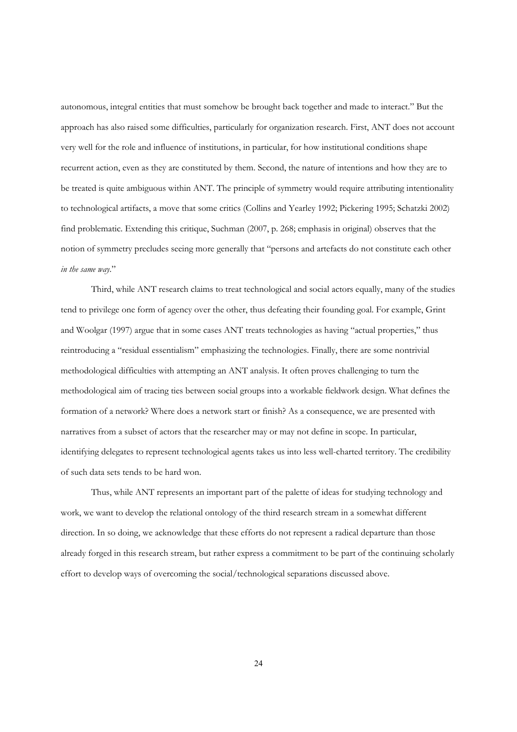autonomous, integral entities that must somehow be brought back together and made to interact." But the approach has also raised some difficulties, particularly for organization research. First, ANT does not account very well for the role and influence of institutions, in particular, for how institutional conditions shape recurrent action, even as they are constituted by them. Second, the nature of intentions and how they are to be treated is quite ambiguous within ANT. The principle of symmetry would require attributing intentionality to technological artifacts, a move that some critics (Collins and Yearley 1992; Pickering 1995; Schatzki 2002) find problematic. Extending this critique, Suchman (2007, p. 268; emphasis in original) observes that the notion of symmetry precludes seeing more generally that "persons and artefacts do not constitute each other *in the same way*."

Third, while ANT research claims to treat technological and social actors equally, many of the studies tend to privilege one form of agency over the other, thus defeating their founding goal. For example, Grint and Woolgar (1997) argue that in some cases ANT treats technologies as having "actual properties," thus reintroducing a "residual essentialism" emphasizing the technologies. Finally, there are some nontrivial methodological difficulties with attempting an ANT analysis. It often proves challenging to turn the methodological aim of tracing ties between social groups into a workable fieldwork design. What defines the formation of a network? Where does a network start or finish? As a consequence, we are presented with narratives from a subset of actors that the researcher may or may not define in scope. In particular, identifying delegates to represent technological agents takes us into less well-charted territory. The credibility of such data sets tends to be hard won.

Thus, while ANT represents an important part of the palette of ideas for studying technology and work, we want to develop the relational ontology of the third research stream in a somewhat different direction. In so doing, we acknowledge that these efforts do not represent a radical departure than those already forged in this research stream, but rather express a commitment to be part of the continuing scholarly effort to develop ways of overcoming the social/technological separations discussed above.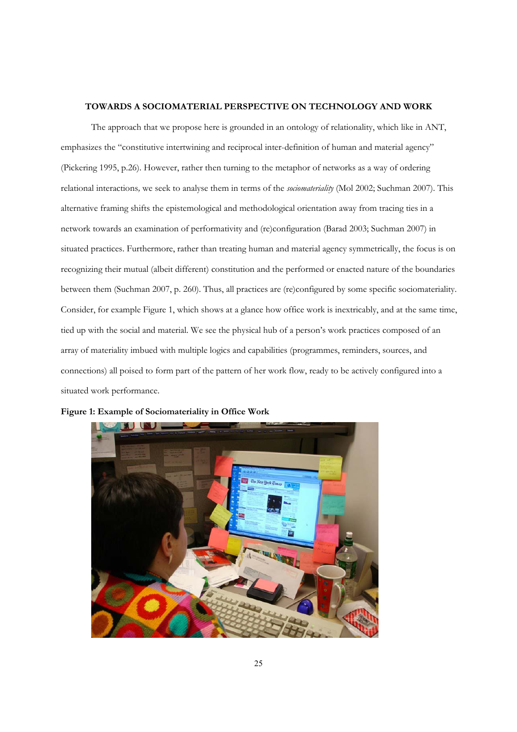# **TOWARDS A SOCIOMATERIAL PERSPECTIVE ON TECHNOLOGY AND WORK**

The approach that we propose here is grounded in an ontology of relationality, which like in ANT, emphasizes the "constitutive intertwining and reciprocal inter-definition of human and material agency" (Pickering 1995, p.26). However, rather then turning to the metaphor of networks as a way of ordering relational interactions*,* we seek to analyse them in terms of the *sociomateriality* (Mol 2002; Suchman 2007). This alternative framing shifts the epistemological and methodological orientation away from tracing ties in a network towards an examination of performativity and (re)configuration (Barad 2003; Suchman 2007) in situated practices. Furthermore, rather than treating human and material agency symmetrically, the focus is on recognizing their mutual (albeit different) constitution and the performed or enacted nature of the boundaries between them (Suchman 2007, p. 260). Thus, all practices are (re)configured by some specific sociomateriality. Consider, for example Figure 1, which shows at a glance how office work is inextricably, and at the same time, tied up with the social and material. We see the physical hub of a person's work practices composed of an array of materiality imbued with multiple logics and capabilities (programmes, reminders, sources, and connections) all poised to form part of the pattern of her work flow, ready to be actively configured into a situated work performance.



**Figure 1: Example of Sociomateriality in Office Work**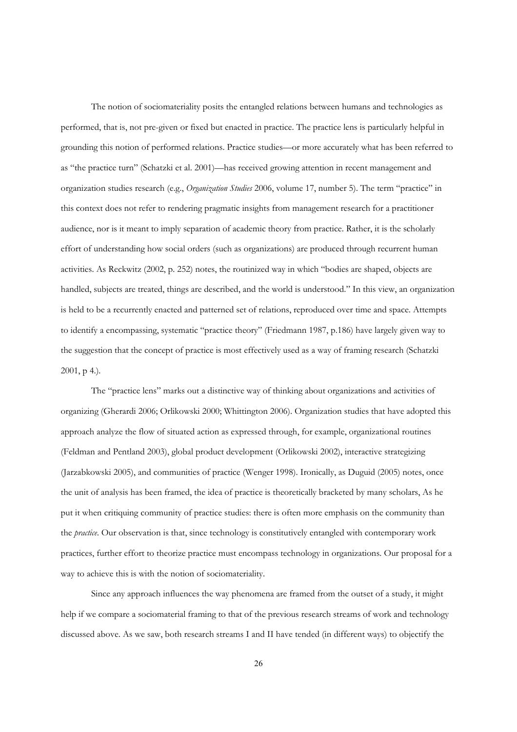The notion of sociomateriality posits the entangled relations between humans and technologies as performed, that is, not pre-given or fixed but enacted in practice. The practice lens is particularly helpful in grounding this notion of performed relations. Practice studies—or more accurately what has been referred to as "the practice turn" (Schatzki et al. 2001)—has received growing attention in recent management and organization studies research (e.g., *Organization Studies* 2006, volume 17, number 5). The term "practice" in this context does not refer to rendering pragmatic insights from management research for a practitioner audience, nor is it meant to imply separation of academic theory from practice. Rather, it is the scholarly effort of understanding how social orders (such as organizations) are produced through recurrent human activities. As Reckwitz (2002, p. 252) notes, the routinized way in which "bodies are shaped, objects are handled, subjects are treated, things are described, and the world is understood." In this view, an organization is held to be a recurrently enacted and patterned set of relations, reproduced over time and space. Attempts to identify a encompassing, systematic "practice theory" (Friedmann 1987, p.186) have largely given way to the suggestion that the concept of practice is most effectively used as a way of framing research (Schatzki 2001, p 4.).

The "practice lens" marks out a distinctive way of thinking about organizations and activities of organizing (Gherardi 2006; Orlikowski 2000; Whittington 2006). Organization studies that have adopted this approach analyze the flow of situated action as expressed through, for example, organizational routines (Feldman and Pentland 2003), global product development (Orlikowski 2002), interactive strategizing (Jarzabkowski 2005), and communities of practice (Wenger 1998). Ironically, as Duguid (2005) notes, once the unit of analysis has been framed, the idea of practice is theoretically bracketed by many scholars, As he put it when critiquing community of practice studies: there is often more emphasis on the community than the *practice*. Our observation is that, since technology is constitutively entangled with contemporary work practices, further effort to theorize practice must encompass technology in organizations. Our proposal for a way to achieve this is with the notion of sociomateriality.

Since any approach influences the way phenomena are framed from the outset of a study, it might help if we compare a sociomaterial framing to that of the previous research streams of work and technology discussed above. As we saw, both research streams I and II have tended (in different ways) to objectify the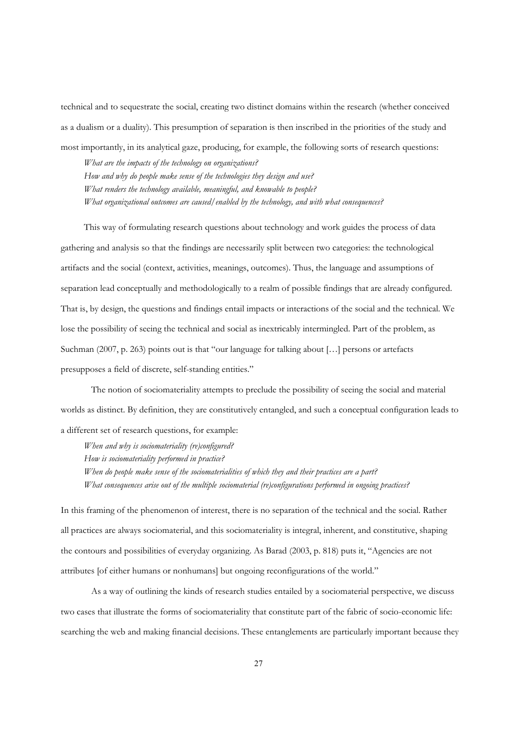technical and to sequestrate the social, creating two distinct domains within the research (whether conceived as a dualism or a duality). This presumption of separation is then inscribed in the priorities of the study and most importantly, in its analytical gaze, producing, for example, the following sorts of research questions:

*What are the impacts of the technology on organizations? How and why do people make sense of the technologies they design and use? What renders the technology available, meaningful, and knowable to people? What organizational outcomes are caused/enabled by the technology, and with what consequences?* 

This way of formulating research questions about technology and work guides the process of data gathering and analysis so that the findings are necessarily split between two categories: the technological artifacts and the social (context, activities, meanings, outcomes). Thus, the language and assumptions of separation lead conceptually and methodologically to a realm of possible findings that are already configured. That is, by design, the questions and findings entail impacts or interactions of the social and the technical. We lose the possibility of seeing the technical and social as inextricably intermingled. Part of the problem, as Suchman (2007, p. 263) points out is that "our language for talking about […] persons or artefacts presupposes a field of discrete, self-standing entities."

The notion of sociomateriality attempts to preclude the possibility of seeing the social and material worlds as distinct. By definition, they are constitutively entangled, and such a conceptual configuration leads to a different set of research questions, for example:

*When and why is sociomateriality (re)configured? How is sociomateriality performed in practice? When do people make sense of the sociomaterialities of which they and their practices are a part? What consequences arise out of the multiple sociomaterial (re)configurations performed in ongoing practices?* 

In this framing of the phenomenon of interest, there is no separation of the technical and the social. Rather all practices are always sociomaterial, and this sociomateriality is integral, inherent, and constitutive, shaping the contours and possibilities of everyday organizing. As Barad (2003, p. 818) puts it, "Agencies are not attributes [of either humans or nonhumans] but ongoing reconfigurations of the world."

As a way of outlining the kinds of research studies entailed by a sociomaterial perspective, we discuss two cases that illustrate the forms of sociomateriality that constitute part of the fabric of socio-economic life: searching the web and making financial decisions. These entanglements are particularly important because they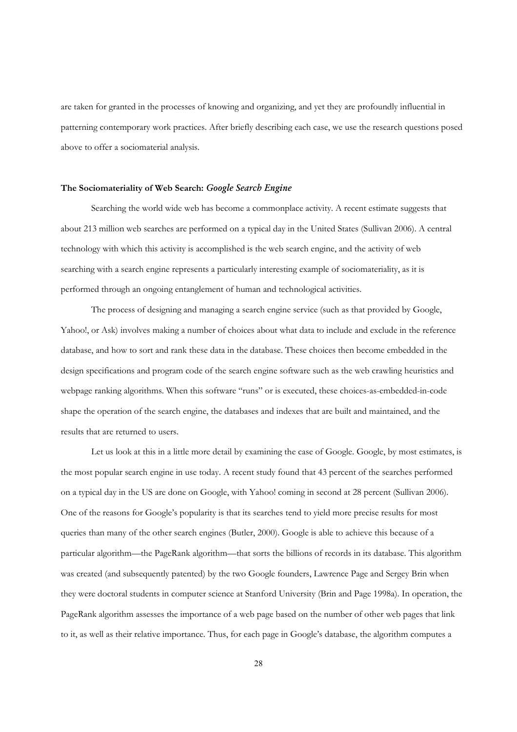are taken for granted in the processes of knowing and organizing, and yet they are profoundly influential in patterning contemporary work practices. After briefly describing each case, we use the research questions posed above to offer a sociomaterial analysis.

# **The Sociomateriality of Web Search:** *Google Search Engine*

Searching the world wide web has become a commonplace activity. A recent estimate suggests that about 213 million web searches are performed on a typical day in the United States (Sullivan 2006). A central technology with which this activity is accomplished is the web search engine, and the activity of web searching with a search engine represents a particularly interesting example of sociomateriality, as it is performed through an ongoing entanglement of human and technological activities.

The process of designing and managing a search engine service (such as that provided by Google, Yahoo!, or Ask) involves making a number of choices about what data to include and exclude in the reference database, and how to sort and rank these data in the database. These choices then become embedded in the design specifications and program code of the search engine software such as the web crawling heuristics and webpage ranking algorithms. When this software "runs" or is executed, these choices-as-embedded-in-code shape the operation of the search engine, the databases and indexes that are built and maintained, and the results that are returned to users.

Let us look at this in a little more detail by examining the case of Google. Google, by most estimates, is the most popular search engine in use today. A recent study found that 43 percent of the searches performed on a typical day in the US are done on Google, with Yahoo! coming in second at 28 percent (Sullivan 2006). One of the reasons for Google's popularity is that its searches tend to yield more precise results for most queries than many of the other search engines (Butler, 2000). Google is able to achieve this because of a particular algorithm—the PageRank algorithm—that sorts the billions of records in its database. This algorithm was created (and subsequently patented) by the two Google founders, Lawrence Page and Sergey Brin when they were doctoral students in computer science at Stanford University (Brin and Page 1998a). In operation, the PageRank algorithm assesses the importance of a web page based on the number of other web pages that link to it, as well as their relative importance. Thus, for each page in Google's database, the algorithm computes a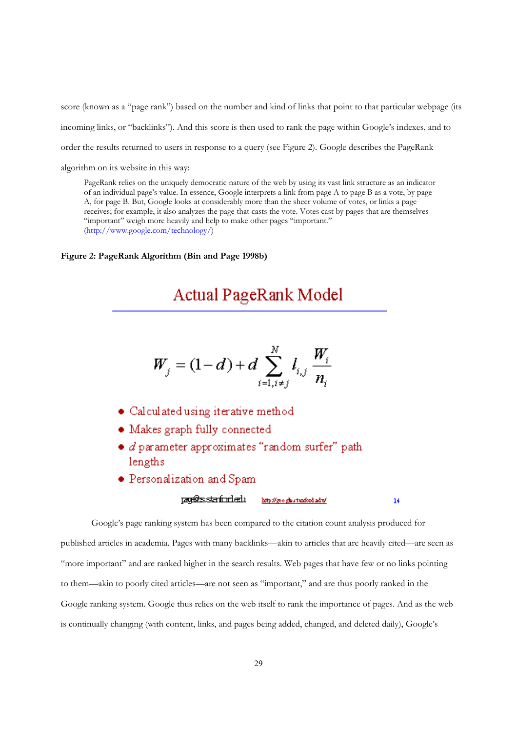score (known as a "page rank") based on the number and kind of links that point to that particular webpage (its incoming links, or "backlinks"). And this score is then used to rank the page within Google's indexes, and to order the results returned to users in response to a query (see Figure 2). Google describes the PageRank algorithm on its website in this way:

PageRank relies on the uniquely democratic nature of the web by using its vast link structure as an indicator of an individual page's value. In essence, Google interprets a link from page A to page B as a vote, by page A, for page B. But, Google looks at considerably more than the sheer volume of votes, or links a page receives; for example, it also analyzes the page that casts the vote. Votes cast by pages that are themselves "important" weigh more heavily and help to make other pages "important." (http://www.google.com/technology/)

#### **Figure 2: PageRank Algorithm (Bin and Page 1998b)**

# Actual PageRank Model

$$
W_j = (1-d) + d \sum_{i=1, i\neq j}^N l_{i,j} \frac{W_i}{n_i}
$$

- $\bullet$  Calculated using iterative method
- · Makes graph fully connected
- · *d* parameter approximates "random surfer" path lengths
- $\bullet$  Personalization and Spam

#### p<del>oplessia forded</del>u http://googlastanford.adu/

 $14$ 

Google's page ranking system has been compared to the citation count analysis produced for published articles in academia. Pages with many backlinks—akin to articles that are heavily cited—are seen as "more important" and are ranked higher in the search results. Web pages that have few or no links pointing to them—akin to poorly cited articles—are not seen as "important," and are thus poorly ranked in the Google ranking system. Google thus relies on the web itself to rank the importance of pages. And as the web is continually changing (with content, links, and pages being added, changed, and deleted daily), Google's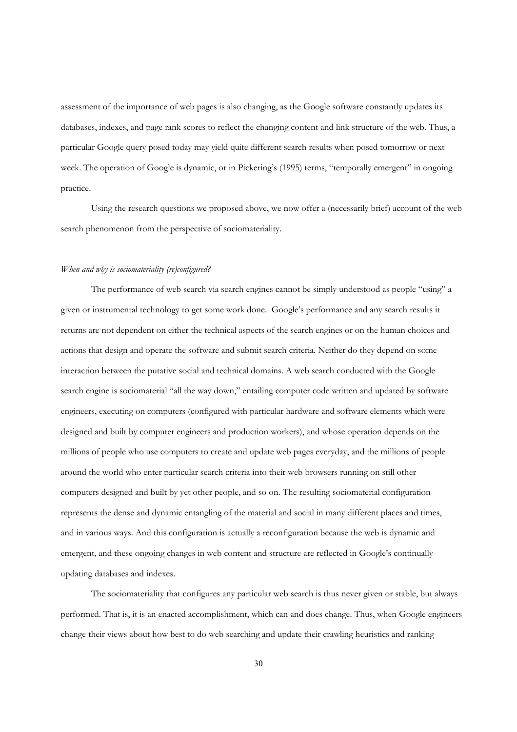assessment of the importance of web pages is also changing, as the Google software constantly updates its databases, indexes, and page rank scores to reflect the changing content and link structure of the web. Thus, a particular Google query posed today may yield quite different search results when posed tomorrow or next week. The operation of Google is dynamic, or in Pickering's (1995) terms, "temporally emergent" in ongoing practice.

Using the research questions we proposed above, we now offer a (necessarily brief) account of the web search phenomenon from the perspective of sociomateriality.

#### *When and why is sociomateriality (re)configured?*

The performance of web search via search engines cannot be simply understood as people "using" a given or instrumental technology to get some work done. Google's performance and any search results it returns are not dependent on either the technical aspects of the search engines or on the human choices and actions that design and operate the software and submit search criteria. Neither do they depend on some interaction between the putative social and technical domains. A web search conducted with the Google search engine is sociomaterial "all the way down," entailing computer code written and updated by software engineers, executing on computers (configured with particular hardware and software elements which were designed and built by computer engineers and production workers), and whose operation depends on the millions of people who use computers to create and update web pages everyday, and the millions of people around the world who enter particular search criteria into their web browsers running on still other computers designed and built by yet other people, and so on. The resulting sociomaterial configuration represents the dense and dynamic entangling of the material and social in many different places and times, and in various ways. And this configuration is actually a reconfiguration because the web is dynamic and emergent, and these ongoing changes in web content and structure are reflected in Google's continually updating databases and indexes.

The sociomateriality that configures any particular web search is thus never given or stable, but always performed. That is, it is an enacted accomplishment, which can and does change. Thus, when Google engineers change their views about how best to do web searching and update their crawling heuristics and ranking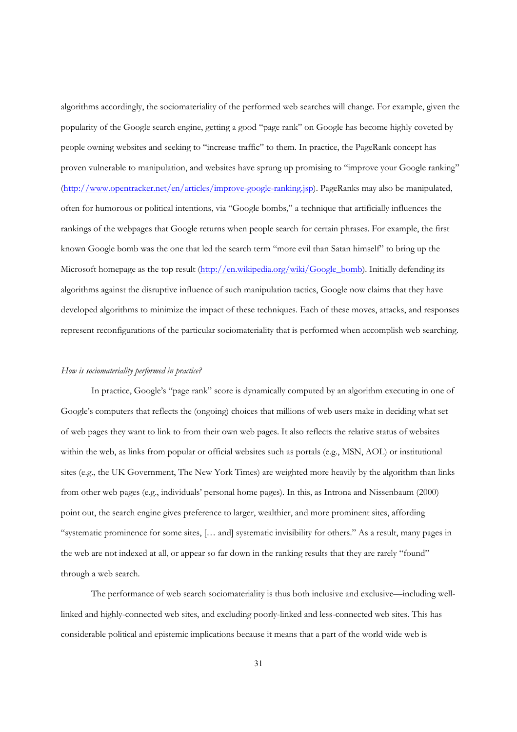algorithms accordingly, the sociomateriality of the performed web searches will change. For example, given the popularity of the Google search engine, getting a good "page rank" on Google has become highly coveted by people owning websites and seeking to "increase traffic" to them. In practice, the PageRank concept has proven vulnerable to manipulation, and websites have sprung up promising to "improve your Google ranking" (http://www.opentracker.net/en/articles/improve-google-ranking.jsp). PageRanks may also be manipulated, often for humorous or political intentions, via "Google bombs," a technique that artificially influences the rankings of the webpages that Google returns when people search for certain phrases. For example, the first known Google bomb was the one that led the search term "more evil than Satan himself" to bring up the Microsoft homepage as the top result (http://en.wikipedia.org/wiki/Google\_bomb). Initially defending its algorithms against the disruptive influence of such manipulation tactics, Google now claims that they have developed algorithms to minimize the impact of these techniques. Each of these moves, attacks, and responses represent reconfigurations of the particular sociomateriality that is performed when accomplish web searching.

## *How is sociomateriality performed in practice?*

In practice, Google's "page rank" score is dynamically computed by an algorithm executing in one of Google's computers that reflects the (ongoing) choices that millions of web users make in deciding what set of web pages they want to link to from their own web pages. It also reflects the relative status of websites within the web, as links from popular or official websites such as portals (e.g., MSN, AOL) or institutional sites (e.g., the UK Government, The New York Times) are weighted more heavily by the algorithm than links from other web pages (e.g., individuals' personal home pages). In this, as Introna and Nissenbaum (2000) point out, the search engine gives preference to larger, wealthier, and more prominent sites, affording "systematic prominence for some sites, [… and] systematic invisibility for others." As a result, many pages in the web are not indexed at all, or appear so far down in the ranking results that they are rarely "found" through a web search.

The performance of web search sociomateriality is thus both inclusive and exclusive—including welllinked and highly-connected web sites, and excluding poorly-linked and less-connected web sites. This has considerable political and epistemic implications because it means that a part of the world wide web is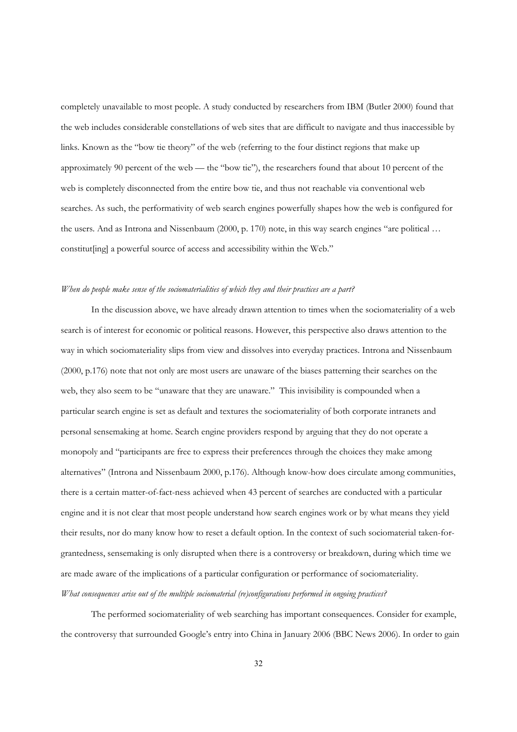completely unavailable to most people. A study conducted by researchers from IBM (Butler 2000) found that the web includes considerable constellations of web sites that are difficult to navigate and thus inaccessible by links. Known as the "bow tie theory" of the web (referring to the four distinct regions that make up approximately 90 percent of the web — the "bow tie"), the researchers found that about 10 percent of the web is completely disconnected from the entire bow tie, and thus not reachable via conventional web searches. As such, the performativity of web search engines powerfully shapes how the web is configured for the users. And as Introna and Nissenbaum (2000, p. 170) note, in this way search engines "are political … constitut[ing] a powerful source of access and accessibility within the Web."

# *When do people make sense of the sociomaterialities of which they and their practices are a part?*

In the discussion above, we have already drawn attention to times when the sociomateriality of a web search is of interest for economic or political reasons. However, this perspective also draws attention to the way in which sociomateriality slips from view and dissolves into everyday practices. Introna and Nissenbaum (2000, p.176) note that not only are most users are unaware of the biases patterning their searches on the web, they also seem to be "unaware that they are unaware." This invisibility is compounded when a particular search engine is set as default and textures the sociomateriality of both corporate intranets and personal sensemaking at home. Search engine providers respond by arguing that they do not operate a monopoly and "participants are free to express their preferences through the choices they make among alternatives" (Introna and Nissenbaum 2000, p.176). Although know-how does circulate among communities, there is a certain matter-of-fact-ness achieved when 43 percent of searches are conducted with a particular engine and it is not clear that most people understand how search engines work or by what means they yield their results, nor do many know how to reset a default option. In the context of such sociomaterial taken-forgrantedness, sensemaking is only disrupted when there is a controversy or breakdown, during which time we are made aware of the implications of a particular configuration or performance of sociomateriality. *What consequences arise out of the multiple sociomaterial (re)configurations performed in ongoing practices?* 

The performed sociomateriality of web searching has important consequences. Consider for example, the controversy that surrounded Google's entry into China in January 2006 (BBC News 2006). In order to gain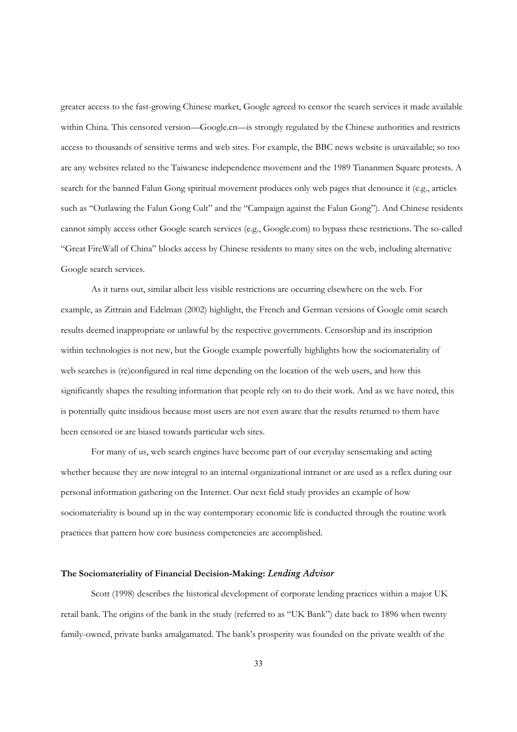greater access to the fast-growing Chinese market, Google agreed to censor the search services it made available within China. This censored version—Google.cn—is strongly regulated by the Chinese authorities and restricts access to thousands of sensitive terms and web sites. For example, the BBC news website is unavailable; so too are any websites related to the Taiwanese independence movement and the 1989 Tiananmen Square protests. A search for the banned Falun Gong spiritual movement produces only web pages that denounce it (e.g., articles such as "Outlawing the Falun Gong Cult" and the "Campaign against the Falun Gong"). And Chinese residents cannot simply access other Google search services (e.g., Google.com) to bypass these restrictions. The so-called "Great FireWall of China" blocks access by Chinese residents to many sites on the web, including alternative Google search services.

As it turns out, similar albeit less visible restrictions are occurring elsewhere on the web. For example, as Zittrain and Edelman (2002) highlight, the French and German versions of Google omit search results deemed inappropriate or unlawful by the respective governments. Censorship and its inscription within technologies is not new, but the Google example powerfully highlights how the sociomateriality of web searches is (re)configured in real time depending on the location of the web users, and how this significantly shapes the resulting information that people rely on to do their work. And as we have noted, this is potentially quite insidious because most users are not even aware that the results returned to them have been censored or are biased towards particular web sites.

For many of us, web search engines have become part of our everyday sensemaking and acting whether because they are now integral to an internal organizational intranet or are used as a reflex during our personal information gathering on the Internet. Our next field study provides an example of how sociomateriality is bound up in the way contemporary economic life is conducted through the routine work practices that pattern how core business competencies are accomplished.

#### **The Sociomateriality of Financial Decision-Making:** *Lending Advisor*

Scott (1998) describes the historical development of corporate lending practices within a major UK retail bank. The origins of the bank in the study (referred to as "UK Bank") date back to 1896 when twenty family-owned, private banks amalgamated. The bank's prosperity was founded on the private wealth of the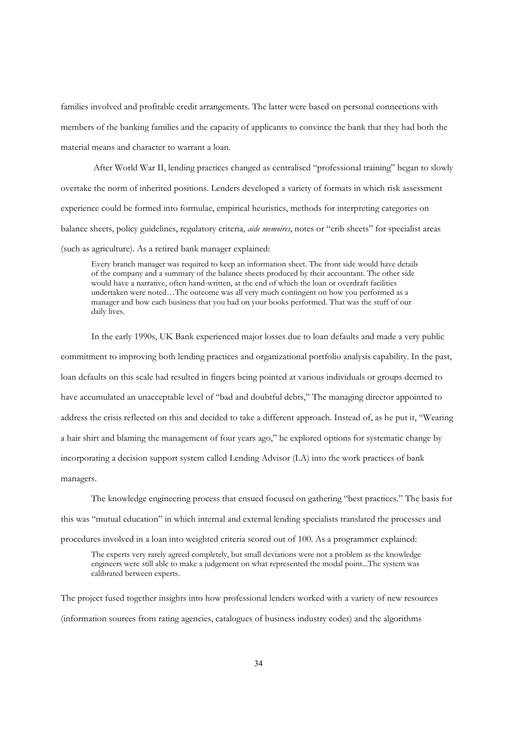families involved and profitable credit arrangements. The latter were based on personal connections with members of the banking families and the capacity of applicants to convince the bank that they had both the material means and character to warrant a loan.

 After World War II, lending practices changed as centralised "professional training" began to slowly overtake the norm of inherited positions. Lenders developed a variety of formats in which risk assessment experience could be formed into formulae, empirical heuristics, methods for interpreting categories on balance sheets, policy guidelines, regulatory criteria, *aide memoires*, notes or "crib sheets" for specialist areas (such as agriculture). As a retired bank manager explained:

Every branch manager was required to keep an information sheet. The front side would have details of the company and a summary of the balance sheets produced by their accountant. The other side would have a narrative, often hand-written, at the end of which the loan or overdraft facilities undertaken were noted…The outcome was all very much contingent on how you performed as a manager and how each business that you had on your books performed. That was the stuff of our daily lives.

In the early 1990s, UK Bank experienced major losses due to loan defaults and made a very public commitment to improving both lending practices and organizational portfolio analysis capability. In the past, loan defaults on this scale had resulted in fingers being pointed at various individuals or groups deemed to have accumulated an unacceptable level of "bad and doubtful debts," The managing director appointed to address the crisis reflected on this and decided to take a different approach. Instead of, as he put it, "Wearing a hair shirt and blaming the management of four years ago," he explored options for systematic change by incorporating a decision support system called Lending Advisor (LA) into the work practices of bank managers.

The knowledge engineering process that ensued focused on gathering "best practices." The basis for

this was "mutual education" in which internal and external lending specialists translated the processes and

procedures involved in a loan into weighted criteria scored out of 100. As a programmer explained:

The experts very rarely agreed completely, but small deviations were not a problem as the knowledge engineers were still able to make a judgement on what represented the modal point...The system was calibrated between experts.

The project fused together insights into how professional lenders worked with a variety of new resources (information sources from rating agencies, catalogues of business industry codes) and the algorithms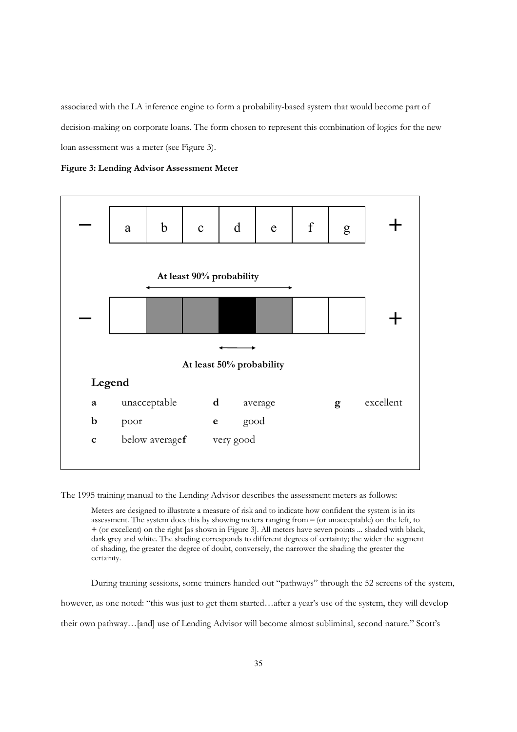associated with the LA inference engine to form a probability-based system that would become part of decision-making on corporate loans. The form chosen to represent this combination of logics for the new loan assessment was a meter (see Figure 3).

**Figure 3: Lending Advisor Assessment Meter** 



The 1995 training manual to the Lending Advisor describes the assessment meters as follows:

Meters are designed to illustrate a measure of risk and to indicate how confident the system is in its assessment. The system does this by showing meters ranging from **–** (or unacceptable) on the left, to **+** (or excellent) on the right [as shown in Figure 3]. All meters have seven points ... shaded with black, dark grey and white. The shading corresponds to different degrees of certainty; the wider the segment of shading, the greater the degree of doubt, conversely, the narrower the shading the greater the certainty.

During training sessions, some trainers handed out "pathways" through the 52 screens of the system, however, as one noted: "this was just to get them started…after a year's use of the system, they will develop their own pathway…[and] use of Lending Advisor will become almost subliminal, second nature." Scott's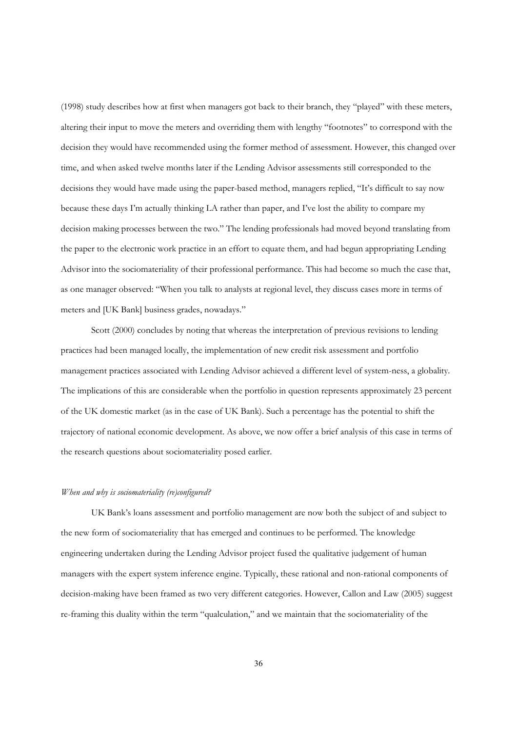(1998) study describes how at first when managers got back to their branch, they "played" with these meters, altering their input to move the meters and overriding them with lengthy "footnotes" to correspond with the decision they would have recommended using the former method of assessment. However, this changed over time, and when asked twelve months later if the Lending Advisor assessments still corresponded to the decisions they would have made using the paper-based method, managers replied, "It's difficult to say now because these days I'm actually thinking LA rather than paper, and I've lost the ability to compare my decision making processes between the two." The lending professionals had moved beyond translating from the paper to the electronic work practice in an effort to equate them, and had begun appropriating Lending Advisor into the sociomateriality of their professional performance. This had become so much the case that, as one manager observed: "When you talk to analysts at regional level, they discuss cases more in terms of meters and [UK Bank] business grades, nowadays."

Scott (2000) concludes by noting that whereas the interpretation of previous revisions to lending practices had been managed locally, the implementation of new credit risk assessment and portfolio management practices associated with Lending Advisor achieved a different level of system-ness, a globality. The implications of this are considerable when the portfolio in question represents approximately 23 percent of the UK domestic market (as in the case of UK Bank). Such a percentage has the potential to shift the trajectory of national economic development. As above, we now offer a brief analysis of this case in terms of the research questions about sociomateriality posed earlier.

## *When and why is sociomateriality (re)configured?*

UK Bank's loans assessment and portfolio management are now both the subject of and subject to the new form of sociomateriality that has emerged and continues to be performed. The knowledge engineering undertaken during the Lending Advisor project fused the qualitative judgement of human managers with the expert system inference engine. Typically, these rational and non-rational components of decision-making have been framed as two very different categories. However, Callon and Law (2005) suggest re-framing this duality within the term "qualculation," and we maintain that the sociomateriality of the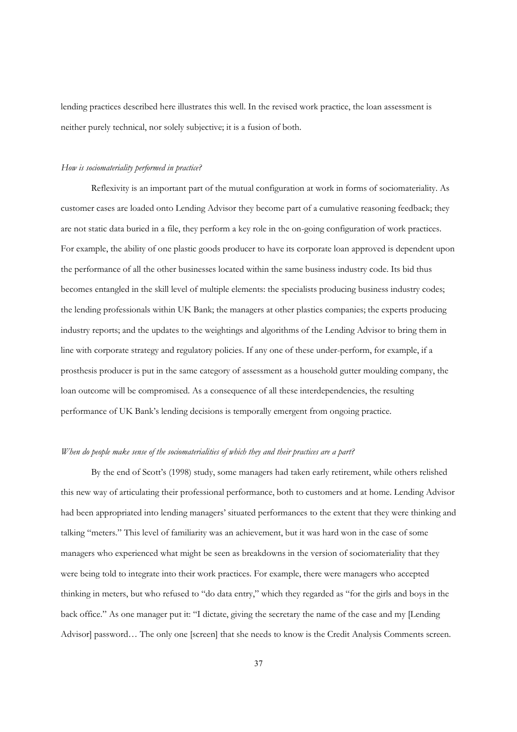lending practices described here illustrates this well. In the revised work practice, the loan assessment is neither purely technical, nor solely subjective; it is a fusion of both.

#### *How is sociomateriality performed in practice?*

Reflexivity is an important part of the mutual configuration at work in forms of sociomateriality. As customer cases are loaded onto Lending Advisor they become part of a cumulative reasoning feedback; they are not static data buried in a file, they perform a key role in the on-going configuration of work practices. For example, the ability of one plastic goods producer to have its corporate loan approved is dependent upon the performance of all the other businesses located within the same business industry code. Its bid thus becomes entangled in the skill level of multiple elements: the specialists producing business industry codes; the lending professionals within UK Bank; the managers at other plastics companies; the experts producing industry reports; and the updates to the weightings and algorithms of the Lending Advisor to bring them in line with corporate strategy and regulatory policies. If any one of these under-perform, for example, if a prosthesis producer is put in the same category of assessment as a household gutter moulding company, the loan outcome will be compromised. As a consequence of all these interdependencies, the resulting performance of UK Bank's lending decisions is temporally emergent from ongoing practice.

# *When do people make sense of the sociomaterialities of which they and their practices are a part?*

By the end of Scott's (1998) study, some managers had taken early retirement, while others relished this new way of articulating their professional performance, both to customers and at home. Lending Advisor had been appropriated into lending managers' situated performances to the extent that they were thinking and talking "meters." This level of familiarity was an achievement, but it was hard won in the case of some managers who experienced what might be seen as breakdowns in the version of sociomateriality that they were being told to integrate into their work practices. For example, there were managers who accepted thinking in meters, but who refused to "do data entry," which they regarded as "for the girls and boys in the back office." As one manager put it: "I dictate, giving the secretary the name of the case and my [Lending Advisor] password... The only one [screen] that she needs to know is the Credit Analysis Comments screen.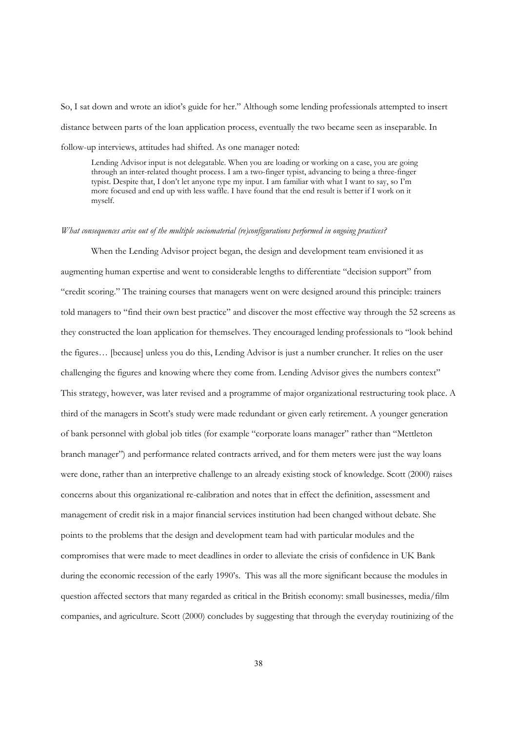So, I sat down and wrote an idiot's guide for her." Although some lending professionals attempted to insert distance between parts of the loan application process, eventually the two became seen as inseparable. In follow-up interviews, attitudes had shifted. As one manager noted:

Lending Advisor input is not delegatable. When you are loading or working on a case, you are going through an inter-related thought process. I am a two-finger typist, advancing to being a three-finger typist. Despite that, I don't let anyone type my input. I am familiar with what I want to say, so I'm more focused and end up with less waffle. I have found that the end result is better if I work on it myself.

#### *What consequences arise out of the multiple sociomaterial (re)configurations performed in ongoing practices?*

When the Lending Advisor project began, the design and development team envisioned it as augmenting human expertise and went to considerable lengths to differentiate "decision support" from "credit scoring." The training courses that managers went on were designed around this principle: trainers told managers to "find their own best practice" and discover the most effective way through the 52 screens as they constructed the loan application for themselves. They encouraged lending professionals to "look behind the figures… [because] unless you do this, Lending Advisor is just a number cruncher. It relies on the user challenging the figures and knowing where they come from. Lending Advisor gives the numbers context" This strategy, however, was later revised and a programme of major organizational restructuring took place. A third of the managers in Scott's study were made redundant or given early retirement. A younger generation of bank personnel with global job titles (for example "corporate loans manager" rather than "Mettleton branch manager") and performance related contracts arrived, and for them meters were just the way loans were done, rather than an interpretive challenge to an already existing stock of knowledge. Scott (2000) raises concerns about this organizational re-calibration and notes that in effect the definition, assessment and management of credit risk in a major financial services institution had been changed without debate. She points to the problems that the design and development team had with particular modules and the compromises that were made to meet deadlines in order to alleviate the crisis of confidence in UK Bank during the economic recession of the early 1990's. This was all the more significant because the modules in question affected sectors that many regarded as critical in the British economy: small businesses, media/film companies, and agriculture. Scott (2000) concludes by suggesting that through the everyday routinizing of the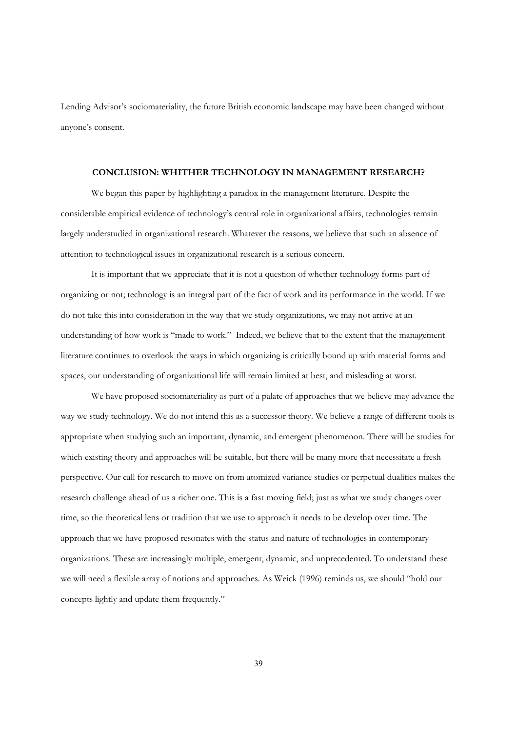Lending Advisor's sociomateriality, the future British economic landscape may have been changed without anyone's consent.

# **CONCLUSION: WHITHER TECHNOLOGY IN MANAGEMENT RESEARCH?**

We began this paper by highlighting a paradox in the management literature. Despite the considerable empirical evidence of technology's central role in organizational affairs, technologies remain largely understudied in organizational research. Whatever the reasons, we believe that such an absence of attention to technological issues in organizational research is a serious concern.

It is important that we appreciate that it is not a question of whether technology forms part of organizing or not; technology is an integral part of the fact of work and its performance in the world. If we do not take this into consideration in the way that we study organizations, we may not arrive at an understanding of how work is "made to work." Indeed, we believe that to the extent that the management literature continues to overlook the ways in which organizing is critically bound up with material forms and spaces, our understanding of organizational life will remain limited at best, and misleading at worst.

We have proposed sociomateriality as part of a palate of approaches that we believe may advance the way we study technology. We do not intend this as a successor theory. We believe a range of different tools is appropriate when studying such an important, dynamic, and emergent phenomenon. There will be studies for which existing theory and approaches will be suitable, but there will be many more that necessitate a fresh perspective. Our call for research to move on from atomized variance studies or perpetual dualities makes the research challenge ahead of us a richer one. This is a fast moving field; just as what we study changes over time, so the theoretical lens or tradition that we use to approach it needs to be develop over time. The approach that we have proposed resonates with the status and nature of technologies in contemporary organizations. These are increasingly multiple, emergent, dynamic, and unprecedented. To understand these we will need a flexible array of notions and approaches. As Weick (1996) reminds us, we should "hold our concepts lightly and update them frequently."

39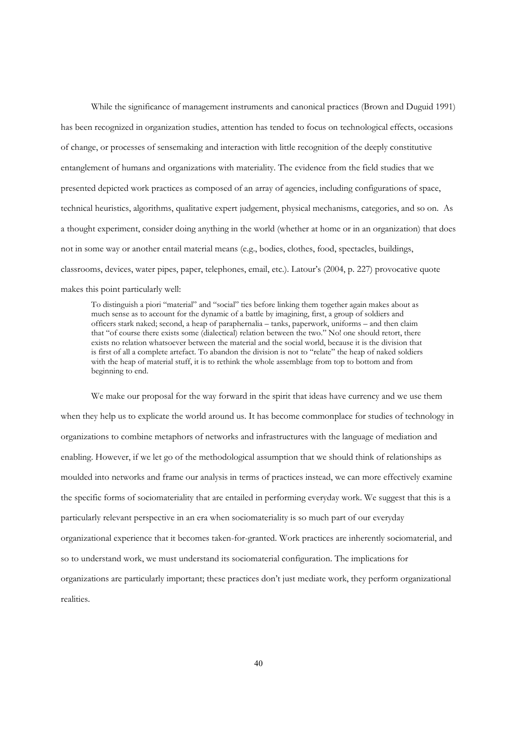While the significance of management instruments and canonical practices (Brown and Duguid 1991) has been recognized in organization studies, attention has tended to focus on technological effects, occasions of change, or processes of sensemaking and interaction with little recognition of the deeply constitutive entanglement of humans and organizations with materiality. The evidence from the field studies that we presented depicted work practices as composed of an array of agencies, including configurations of space, technical heuristics, algorithms, qualitative expert judgement, physical mechanisms, categories, and so on. As a thought experiment, consider doing anything in the world (whether at home or in an organization) that does not in some way or another entail material means (e.g., bodies, clothes, food, spectacles, buildings, classrooms, devices, water pipes, paper, telephones, email, etc.). Latour's (2004, p. 227) provocative quote makes this point particularly well:

To distinguish a piori "material" and "social" ties before linking them together again makes about as much sense as to account for the dynamic of a battle by imagining, first, a group of soldiers and officers stark naked; second, a heap of paraphernalia – tanks, paperwork, uniforms – and then claim that "of course there exists some (dialectical) relation between the two." No! one should retort, there exists no relation whatsoever between the material and the social world, because it is the division that is first of all a complete artefact. To abandon the division is not to "relate" the heap of naked soldiers with the heap of material stuff, it is to rethink the whole assemblage from top to bottom and from beginning to end.

We make our proposal for the way forward in the spirit that ideas have currency and we use them when they help us to explicate the world around us. It has become commonplace for studies of technology in organizations to combine metaphors of networks and infrastructures with the language of mediation and enabling. However, if we let go of the methodological assumption that we should think of relationships as moulded into networks and frame our analysis in terms of practices instead, we can more effectively examine the specific forms of sociomateriality that are entailed in performing everyday work. We suggest that this is a particularly relevant perspective in an era when sociomateriality is so much part of our everyday organizational experience that it becomes taken-for-granted. Work practices are inherently sociomaterial, and so to understand work, we must understand its sociomaterial configuration. The implications for organizations are particularly important; these practices don't just mediate work, they perform organizational realities.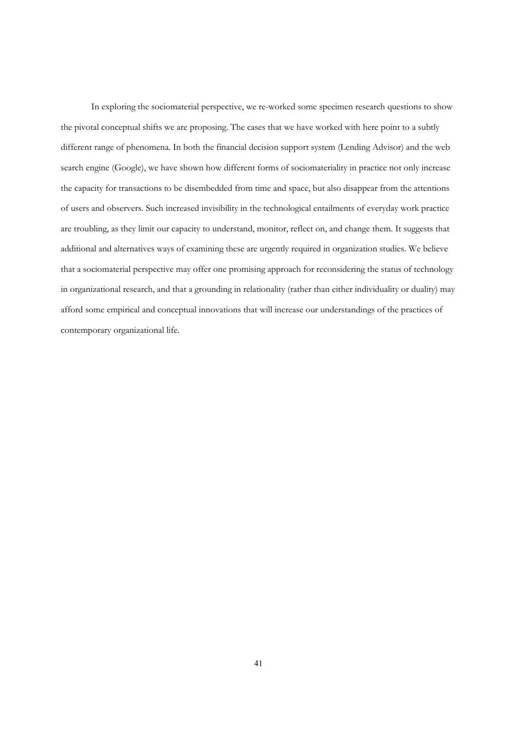In exploring the sociomaterial perspective, we re-worked some specimen research questions to show the pivotal conceptual shifts we are proposing. The cases that we have worked with here point to a subtly different range of phenomena. In both the financial decision support system (Lending Advisor) and the web search engine (Google), we have shown how different forms of sociomateriality in practice not only increase the capacity for transactions to be disembedded from time and space, but also disappear from the attentions of users and observers. Such increased invisibility in the technological entailments of everyday work practice are troubling, as they limit our capacity to understand, monitor, reflect on, and change them. It suggests that additional and alternatives ways of examining these are urgently required in organization studies. We believe that a sociomaterial perspective may offer one promising approach for reconsidering the status of technology in organizational research, and that a grounding in relationality (rather than either individuality or duality) may afford some empirical and conceptual innovations that will increase our understandings of the practices of contemporary organizational life.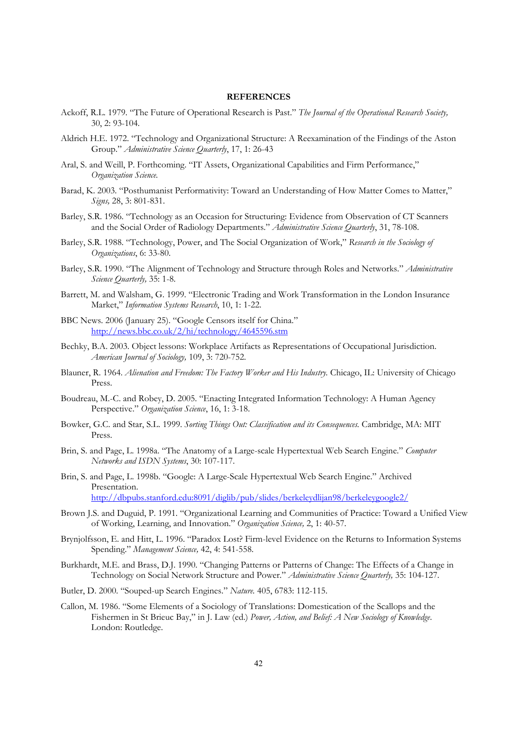#### **REFERENCES**

- Ackoff, R.L. 1979. "The Future of Operational Research is Past." *The Journal of the Operational Research Society,* 30, 2: 93-104.
- Aldrich H.E. 1972. "Technology and Organizational Structure: A Reexamination of the Findings of the Aston Group." *Administrative Science Quarterly*, 17, 1: 26-43
- Aral, S. and Weill, P. Forthcoming. "IT Assets, Organizational Capabilities and Firm Performance," *Organization Science.*
- Barad, K. 2003. "Posthumanist Performativity: Toward an Understanding of How Matter Comes to Matter," *Signs,* 28, 3: 801-831.
- Barley, S.R. 1986. "Technology as an Occasion for Structuring: Evidence from Observation of CT Scanners and the Social Order of Radiology Departments." *Administrative Science Quarterly*, 31, 78-108.
- Barley, S.R. 1988. "Technology, Power, and The Social Organization of Work," *Research in the Sociology of Organizations*, 6: 33-80.
- Barley, S.R. 1990. "The Alignment of Technology and Structure through Roles and Networks." *Administrative Science Quarterly,* 35: 1-8.
- Barrett, M. and Walsham, G. 1999. "Electronic Trading and Work Transformation in the London Insurance Market," *Information Systems Research*, 10, 1: 1-22.
- BBC News. 2006 (January 25). "Google Censors itself for China." <http://news.bbc.co.uk/2/hi/technology/4645596.stm>
- Bechky, B.A. 2003. Object lessons: Workplace Artifacts as Representations of Occupational Jurisdiction. *American Journal of Sociology,* 109, 3: 720-752.
- Blauner, R. 1964. *Alienation and Freedom: The Factory Worker and His Industry.* Chicago, IL: University of Chicago Press.
- Boudreau, M.-C. and Robey, D. 2005. "Enacting Integrated Information Technology: A Human Agency Perspective." *Organization Science*, 16, 1: 3-18.
- Bowker, G.C. and Star, S.L. 1999. *Sorting Things Out: Classification and its Consequences.* Cambridge, MA: MIT Press.
- Brin, S. and Page, L. 1998a. "The Anatomy of a Large-scale Hypertextual Web Search Engine." *Computer Networks and ISDN Systems*, 30: 107-117.
- Brin, S. and Page, L. 1998b. "Google: A Large-Scale Hypertextual Web Search Engine." Archived Presentation. <http://dbpubs.stanford.edu:8091/diglib/pub/slides/berkeleydlijan98/berkeleygoogle2/>
- Brown J.S. and Duguid, P. 1991. "Organizational Learning and Communities of Practice: Toward a Unified View of Working, Learning, and Innovation." *Organization Science,* 2, 1: 40-57.
- Brynjolfsson, E. and Hitt, L. 1996. "Paradox Lost? Firm-level Evidence on the Returns to Information Systems Spending." *Management Science,* 42, 4: 541-558.
- Burkhardt, M.E. and Brass, D.J. 1990. "Changing Patterns or Patterns of Change: The Effects of a Change in Technology on Social Network Structure and Power." *Administrative Science Quarterly,* 35: 104-127.
- Butler, D. 2000. "Souped-up Search Engines." *Nature.* 405, 6783: 112-115.
- Callon, M. 1986. "Some Elements of a Sociology of Translations: Domestication of the Scallops and the Fishermen in St Brieuc Bay," in J. Law (ed.) *Power, Action, and Belief: A New Sociology of Knowledge*. London: Routledge.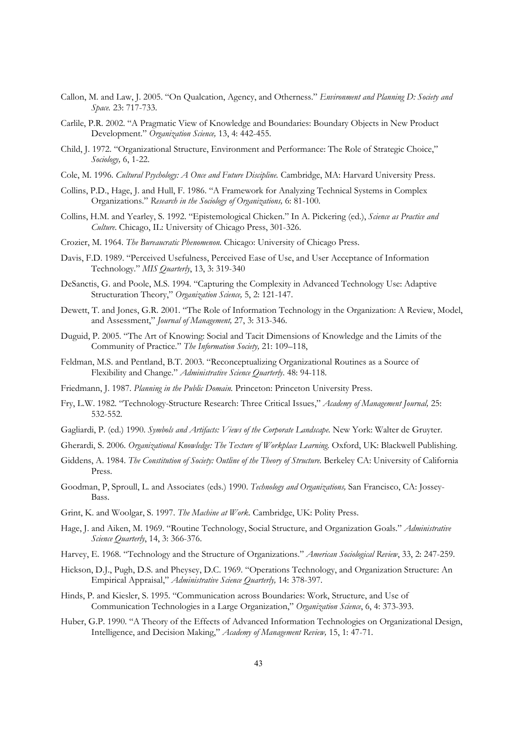- Callon, M. and Law, J. 2005. "On Qualcation, Agency, and Otherness." *Environment and Planning D: Society and Space.* 23: 717-733.
- Carlile, P.R. 2002. "A Pragmatic View of Knowledge and Boundaries: Boundary Objects in New Product Development." *Organization Science,* 13, 4: 442-455.
- Child, J. 1972. "Organizational Structure, Environment and Performance: The Role of Strategic Choice," *Sociology,* 6, 1-22.
- Cole, M. 1996. *Cultural Psychology: A Once and Future Discipline.* Cambridge, MA: Harvard University Press.
- Collins, P.D., Hage, J. and Hull, F. 1986. "A Framework for Analyzing Technical Systems in Complex Organizations." *Research in the Sociology of Organizations,* 6: 81-100.
- Collins, H.M. and Yearley, S. 1992. "Epistemological Chicken." In A. Pickering (ed.), *Science as Practice and Culture*. Chicago, IL: University of Chicago Press, 301-326.
- Crozier, M. 1964. *The Bureaucratic Phenomenon.* Chicago: University of Chicago Press.
- Davis, F.D. 1989. "Perceived Usefulness, Perceived Ease of Use, and User Acceptance of Information Technology." *MIS Quarterly*, 13, 3: 319-340
- DeSanctis, G. and Poole, M.S. 1994. "Capturing the Complexity in Advanced Technology Use: Adaptive Structuration Theory," *Organization Science,* 5, 2: 121-147.
- Dewett, T. and Jones, G.R. 2001. "The Role of Information Technology in the Organization: A Review, Model, and Assessment," *Journal of Management,* 27, 3: 313-346.
- Duguid, P. 2005. "The Art of Knowing: Social and Tacit Dimensions of Knowledge and the Limits of the Community of Practice." *The Information Society,* 21: 109–118,
- Feldman, M.S. and Pentland, B.T. 2003. "Reconceptualizing Organizational Routines as a Source of Flexibility and Change." *Administrative Science Quarterly*. 48: 94-118.
- Friedmann, J. 1987. *Planning in the Public Domain.* Princeton: Princeton University Press.
- Fry, L.W. 1982. "Technology-Structure Research: Three Critical Issues," *Academy of Management Journal,* 25: 532-552.
- Gagliardi, P. (ed.) 1990. *Symbols and Artifacts: Views of the Corporate Landscape.* New York: Walter de Gruyter.
- Gherardi, S. 2006*. Organizational Knowledge: The Texture of Workplace Learning.* Oxford, UK: Blackwell Publishing.
- Giddens, A. 1984. *The Constitution of Society: Outline of the Theory of Structure.* Berkeley CA: University of California Press.
- Goodman, P, Sproull, L. and Associates (eds.) 1990. *Technology and Organizations,* San Francisco, CA: Jossey-Bass.
- Grint, K. and Woolgar, S. 1997. *The Machine at Work*. Cambridge, UK: Polity Press.
- Hage, J. and Aiken, M. 1969. "Routine Technology, Social Structure, and Organization Goals." *Administrative Science Quarterly*, 14, 3: 366-376.
- Harvey, E. 1968. "Technology and the Structure of Organizations." *American Sociological Review*, 33, 2: 247-259.
- Hickson, D.J., Pugh, D.S. and Pheysey, D.C. 1969. "Operations Technology, and Organization Structure: An Empirical Appraisal," *Administrative Science Quarterly,* 14: 378-397.
- Hinds, P. and Kiesler, S. 1995. "Communication across Boundaries: Work, Structure, and Use of Communication Technologies in a Large Organization," *Organization Science*, 6, 4: 373-393.
- Huber, G.P. 1990. "A Theory of the Effects of Advanced Information Technologies on Organizational Design, Intelligence, and Decision Making," *Academy of Management Review,* 15, 1: 47-71.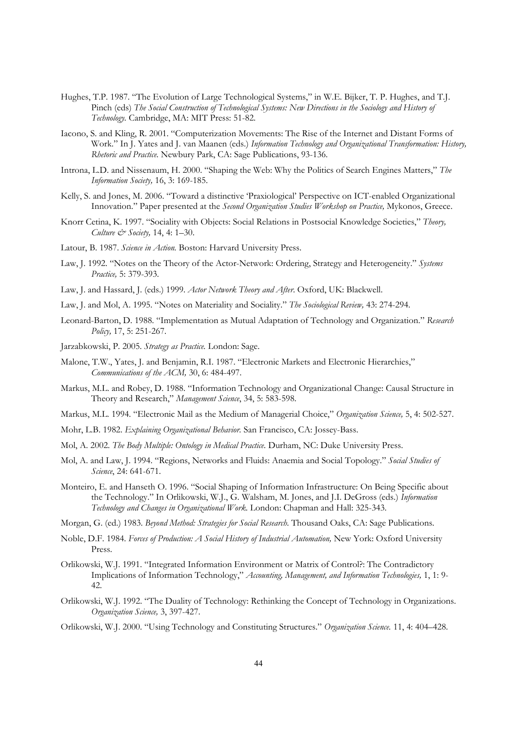- Hughes, T.P. 1987. "The Evolution of Large Technological Systems," in W.E. Bijker, T. P. Hughes, and T.J. Pinch (eds) *The Social Construction of Technological Systems: New Directions in the Sociology and History of Technology.* Cambridge, MA: MIT Press: 51-82.
- Iacono, S. and Kling, R. 2001. "Computerization Movements: The Rise of the Internet and Distant Forms of Work." In J. Yates and J. van Maanen (eds.) *Information Technology and Organizational Transformation: History, Rhetoric and Practice.* Newbury Park, CA: Sage Publications, 93-136.
- Introna, L.D. and Nissenaum, H. 2000. "Shaping the Web: Why the Politics of Search Engines Matters," *The Information Society,* 16, 3: 169-185.
- Kelly, S. and Jones, M. 2006. "Toward a distinctive 'Praxiological' Perspective on ICT-enabled Organizational Innovation." Paper presented at the *Second Organization Studies Workshop on Practice,* Mykonos, Greece.
- Knorr Cetina, K. 1997. "Sociality with Objects: Social Relations in Postsocial Knowledge Societies," *Theory, Culture & Society,* 14, 4: 1–30.
- Latour, B. 1987. *Science in Action.* Boston: Harvard University Press.
- Law, J. 1992. "Notes on the Theory of the Actor-Network: Ordering, Strategy and Heterogeneity." *Systems Practice,* 5: 379-393.
- Law, J. and Hassard, J. (eds.) 1999. *Actor Network Theory and After*. Oxford, UK: Blackwell.
- Law, J. and Mol, A. 1995. "Notes on Materiality and Sociality." *The Sociological Review,* 43: 274-294.
- Leonard-Barton, D. 1988. "Implementation as Mutual Adaptation of Technology and Organization." *Research Policy,* 17, 5: 251-267.
- Jarzabkowski, P. 2005. *Strategy as Practice.* London: Sage.
- Malone, T.W., Yates, J. and Benjamin, R.I. 1987. "Electronic Markets and Electronic Hierarchies," *Communications of the ACM,* 30, 6: 484-497.
- Markus, M.L. and Robey, D. 1988. "Information Technology and Organizational Change: Causal Structure in Theory and Research," *Management Science*, 34, 5: 583-598.
- Markus, M.L. 1994. "Electronic Mail as the Medium of Managerial Choice," *Organization Science,* 5, 4: 502-527.
- Mohr, L.B. 1982. *Explaining Organizational Behavior.* San Francisco, CA: Jossey-Bass.
- Mol, A. 2002. *The Body Multiple: Ontology in Medical Practice.* Durham, NC: Duke University Press.
- Mol, A. and Law, J. 1994. "Regions, Networks and Fluids: Anaemia and Social Topology." *Social Studies of Science*, 24: 641-671.
- Monteiro, E. and Hanseth O. 1996. "Social Shaping of Information Infrastructure: On Being Specific about the Technology." In Orlikowski, W.J., G. Walsham, M. Jones, and J.I. DeGross (eds.) *Information Technology and Changes in Organizational Work.* London: Chapman and Hall: 325-343.
- Morgan, G. (ed.) 1983. *Beyond Method: Strategies for Social Research*. Thousand Oaks, CA: Sage Publications.
- Noble, D.F. 1984. *Forces of Production: A Social History of Industrial Automation,* New York: Oxford University Press.
- Orlikowski, W.J. 1991. "Integrated Information Environment or Matrix of Control?: The Contradictory Implications of Information Technology," *Accounting, Management, and Information Technologies,* 1, 1: 9- 42.
- Orlikowski, W.J. 1992. "The Duality of Technology: Rethinking the Concept of Technology in Organizations. *Organization Science,* 3, 397-427.
- Orlikowski, W.J. 2000. "Using Technology and Constituting Structures." *Organization Science.* 11, 4: 404–428.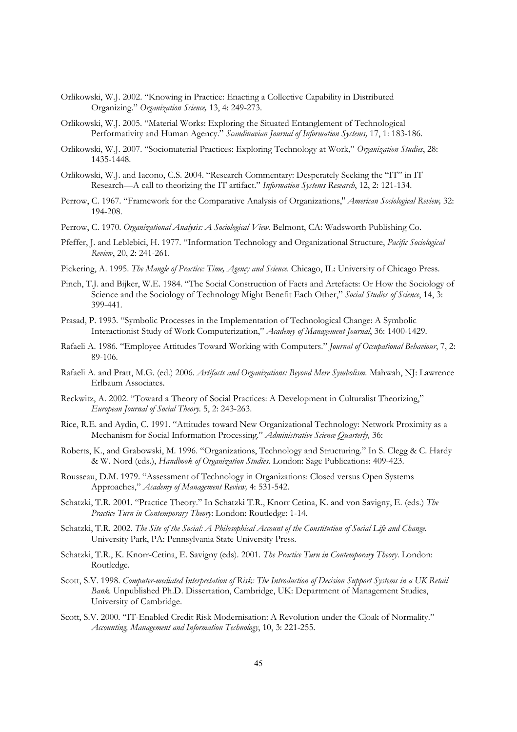- Orlikowski, W.J. 2002. "Knowing in Practice: Enacting a Collective Capability in Distributed Organizing." *Organization Science,* 13, 4: 249-273.
- Orlikowski, W.J. 2005. "Material Works: Exploring the Situated Entanglement of Technological Performativity and Human Agency." *Scandinavian Journal of Information Systems,* 17, 1: 183-186.
- Orlikowski, W.J. 2007. "Sociomaterial Practices: Exploring Technology at Work," *Organization Studies*, 28: 1435-1448.
- Orlikowski, W.J. and Iacono, C.S. 2004. "Research Commentary: Desperately Seeking the "IT" in IT Research—A call to theorizing the IT artifact." *Information Systems Research*, 12, 2: 121-134.
- Perrow, C. 1967. "Framework for the Comparative Analysis of Organizations,'' *American Sociological Review,* 32: 194-208.
- Perrow, C. 1970. *Organizational Analysis: A Sociological View.* Belmont, CA: Wadsworth Publishing Co.
- Pfeffer, J. and Leblebici, H. 1977. "Information Technology and Organizational Structure, *Pacific Sociological Review*, 20, 2: 241-261.
- Pickering, A. 1995. *The Mangle of Practice: Time, Agency and Science*. Chicago, IL: University of Chicago Press.
- Pinch, T.J. and Bijker, W.E. 1984. "The Social Construction of Facts and Artefacts: Or How the Sociology of Science and the Sociology of Technology Might Benefit Each Other," *Social Studies of Science*, 14, 3: 399-441.
- Prasad, P. 1993. "Symbolic Processes in the Implementation of Technological Change: A Symbolic Interactionist Study of Work Computerization," *Academy of Management Journal*, 36: 1400-1429.
- Rafaeli A. 1986. "Employee Attitudes Toward Working with Computers." *Journal of Occupational Behaviour*, 7, 2: 89-106.
- Rafaeli A. and Pratt, M.G. (ed.) 2006. *Artifacts and Organizations: Beyond Mere Symbolism.* Mahwah, NJ: Lawrence Erlbaum Associates.
- Reckwitz, A. 2002. "Toward a Theory of Social Practices: A Development in Culturalist Theorizing," *European Journal of Social Theory.* 5, 2: 243-263.
- Rice, R.E. and Aydin, C. 1991. "Attitudes toward New Organizational Technology: Network Proximity as a Mechanism for Social Information Processing." *Administrative Science Quarterly,* 36:
- Roberts, K., and Grabowski, M. 1996. "Organizations, Technology and Structuring." In S. Clegg & C. Hardy & W. Nord (eds.), *Handbook of Organization Studies*. London: Sage Publications: 409-423.
- Rousseau, D.M. 1979. "Assessment of Technology in Organizations: Closed versus Open Systems Approaches," *Academy of Management Review,* 4: 531-542.
- Schatzki, T.R. 2001. "Practice Theory." In Schatzki T.R., Knorr Cetina, K. and von Savigny, E. (eds.) *The Practice Turn in Contemporary Theory*: London: Routledge: 1-14.
- Schatzki, T.R. 2002. *The Site of the Social: A Philosophical Account of the Constitution of Social Life and Change.* University Park, PA: Pennsylvania State University Press.
- Schatzki, T.R., K. Knorr-Cetina, E. Savigny (eds). 2001. *The Practice Turn in Contemporary Theory*. London: Routledge.
- Scott, S.V. 1998. *Computer-mediated Interpretation of Risk: The Introduction of Decision Support Systems in a UK Retail Bank.* Unpublished Ph.D. Dissertation, Cambridge, UK: Department of Management Studies, University of Cambridge.
- Scott, S.V. 2000. "IT-Enabled Credit Risk Modernisation: A Revolution under the Cloak of Normality." *Accounting, Management and Information Technology*, 10, 3: 221-255.